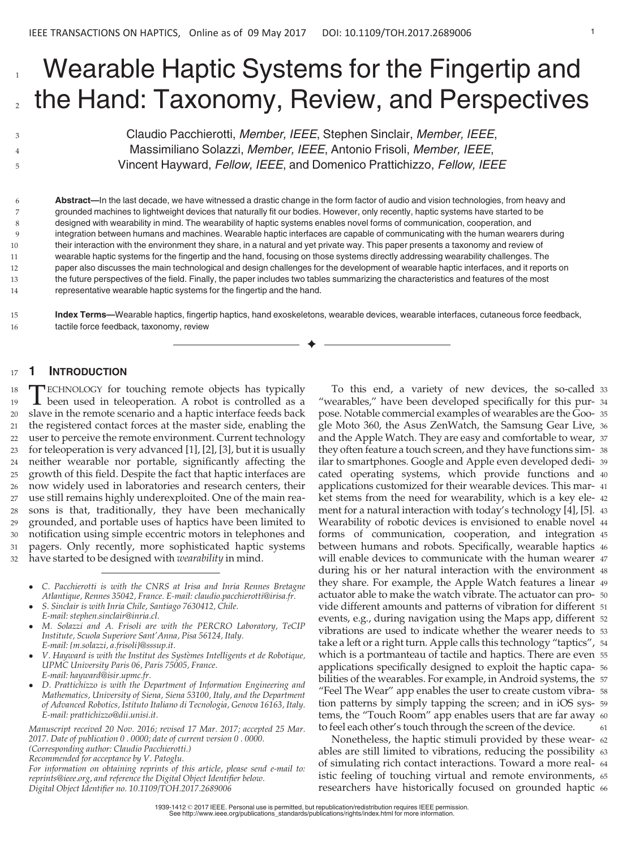# Wearable Haptic Systems for the Fingertip and <sup>2</sup> the Hand: Taxonomy, Review, and Perspectives

Claudio Pacchierotti, Member, IEEE, Stephen Sinclair, Member, IEEE, <sup>4</sup> Massimiliano Solazzi, Member, IEEE, Antonio Frisoli, Member, IEEE, <sup>5</sup> Vincent Hayward, Fellow, IEEE, and Domenico Prattichizzo, Fellow, IEEE

**Abstract—**In the last decade, we have witnessed a drastic change in the form factor of audio and vision technologies, from heavy and grounded machines to lightweight devices that naturally fit our bodies. However, only recently, haptic systems have started to be designed with wearability in mind. The wearability of haptic systems enables novel forms of communication, cooperation, and integration between humans and machines. Wearable haptic interfaces are capable of communicating with the human wearers during their interaction with the environment they share, in a natural and yet private way. This paper presents a taxonomy and review of wearable haptic systems for the fingertip and the hand, focusing on those systems directly addressing wearability challenges. The paper also discusses the main technological and design challenges for the development of wearable haptic interfaces, and it reports on the future perspectives of the field. Finally, the paper includes two tables summarizing the characteristics and features of the most representative wearable haptic systems for the fingertip and the hand.

15 **Index Terms—**Wearable haptics, fingertip haptics, hand exoskeletons, wearable devices, wearable interfaces, cutaneous force feedback, 16 tactile force feedback, taxonomy, review

 $\blacklozenge$ 

# 17 1 INTRODUCTION

18 TECHNOLOGY for touching remote objects has typically<br>19 been used in teleoperation. A robot is controlled as a<br>20 elays in the remote scenario and a bantis interface foods back slave in the remote scenario and a haptic interface feeds back the registered contact forces at the master side, enabling the user to perceive the remote environment. Current technology for teleoperation is very advanced [1], [2], [3], but it is usually neither wearable nor portable, significantly affecting the growth of this field. Despite the fact that haptic interfaces are now widely used in laboratories and research centers, their use still remains highly underexploited. One of the main rea- sons is that, traditionally, they have been mechanically grounded, and portable uses of haptics have been limited to notification using simple eccentric motors in telephones and pagers. Only recently, more sophisticated haptic systems have started to be designed with wearability in mind.

- C. Pacchierotti is with the CNRS at Irisa and Inria Rennes Bretagne Atlantique, Rennes 35042, France. E-mail: [claudio.pacchierotti@irisa.fr.](mailto:)
- S. Sinclair is with Inria Chile, Santiago 7630412, Chile. E-mail: [stephen.sinclair@inria.cl.](mailto:)
- M. Solazzi and A. Frisoli are with the PERCRO Laboratory, TeCIP Institute, Scuola Superiore Sant'Anna, Pisa 56124, Italy. E-mail: [{m.solazzi, a.frisoli}@sssup.it](mailto:).
- V. Hayward is with the Institut des Systemes Intelligents et de Robotique, UPMC University Paris 06, Paris 75005, France. E-mail: [hayward@isir.upmc.fr](mailto:).
- D. Prattichizzo is with the Department of Information Engineering and Mathematics, University of Siena, Siena 53100, Italy, and the Department of Advanced Robotics, Istituto Italiano di Tecnologia, Genova 16163, Italy. E-mail: [prattichizzo@dii.unisi.it.](mailto:)

Manuscript received 20 Nov. 2016; revised 17 Mar. 2017; accepted 25 Mar. 2017. Date of publication 0 . 0000; date of current version 0 . 0000. (Corresponding author: Claudio Pacchierotti.) Recommended for acceptance by V. Patoglu. For information on obtaining reprints of this article, please send e-mail to: reprints@ieee.org, and reference the Digital Object Identifier below.

Digital Object Identifier no. 10.1109/TOH.2017.2689006

To this end, a variety of new devices, the so-called 33 "wearables," have been developed specifically for this pur- 34 pose. Notable commercial examples of wearables are the Goo- 35 gle Moto 360, the Asus ZenWatch, the Samsung Gear Live, 36 and the Apple Watch. They are easy and comfortable to wear, 37 they often feature a touch screen, and they have functions sim- 38 ilar to smartphones. Google and Apple even developed dedi- 39 cated operating systems, which provide functions and 40 applications customized for their wearable devices. This mar- 41 ket stems from the need for wearability, which is a key ele- 42 ment for a natural interaction with today's technology [4], [5]. 43 Wearability of robotic devices is envisioned to enable novel 44 forms of communication, cooperation, and integration 45 between humans and robots. Specifically, wearable haptics 46 will enable devices to communicate with the human wearer 47 during his or her natural interaction with the environment 48 they share. For example, the Apple Watch features a linear 49 actuator able to make the watch vibrate. The actuator can pro- 50 vide different amounts and patterns of vibration for different 51 events, e.g., during navigation using the Maps app, different 52 vibrations are used to indicate whether the wearer needs to 53 take a left or a right turn. Apple calls this technology "taptics", 54 which is a portmanteau of tactile and haptics. There are even 55 applications specifically designed to exploit the haptic capa- 56 bilities of the wearables. For example, in Android systems, the 57 "Feel The Wear" app enables the user to create custom vibra- 58 tion patterns by simply tapping the screen; and in iOS sys- 59 tems, the "Touch Room" app enables users that are far away 60 to feel each other's touch through the screen of the device.  $61$ 

Nonetheless, the haptic stimuli provided by these wear- 62 ables are still limited to vibrations, reducing the possibility 63 of simulating rich contact interactions. Toward a more real- 64 istic feeling of touching virtual and remote environments, 65 researchers have historically focused on grounded haptic 66

1939-1412 2017 IEEE. Personal use is permitted, but republication/redistribution requires IEEE permission. See http://www.ieee.org/publications\_standards/publications/rights/index.html for more information.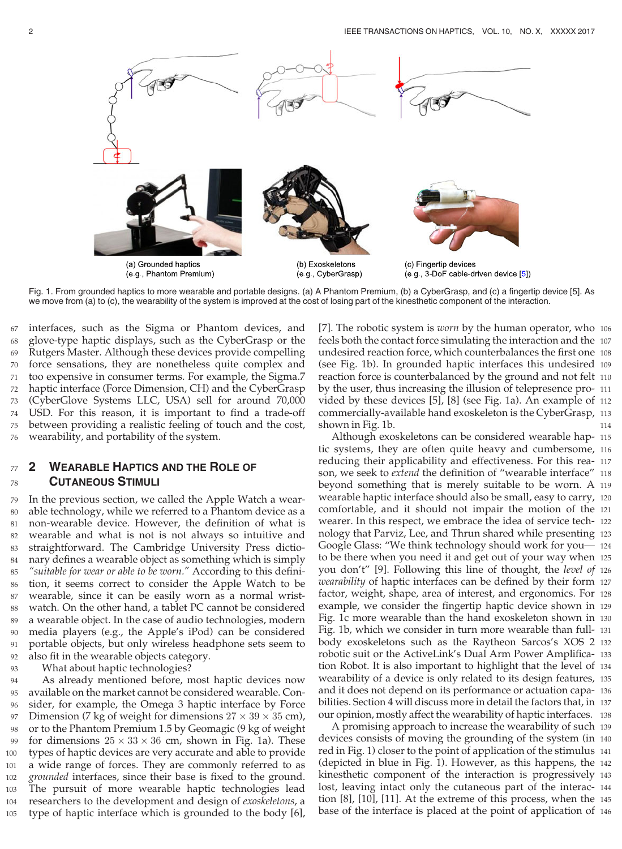

Fig. 1. From grounded haptics to more wearable and portable designs. (a) A Phantom Premium, (b) a CyberGrasp, and (c) a fingertip device [5]. As we move from (a) to (c), the wearability of the system is improved at the cost of losing part of the kinesthetic component of the interaction.

 interfaces, such as the Sigma or Phantom devices, and glove-type haptic displays, such as the CyberGrasp or the Rutgers Master. Although these devices provide compelling force sensations, they are nonetheless quite complex and too expensive in consumer terms. For example, the Sigma.7 haptic interface (Force Dimension, CH) and the CyberGrasp (CyberGlove Systems LLC, USA) sell for around 70,000 USD. For this reason, it is important to find a trade-off between providing a realistic feeling of touch and the cost, wearability, and portability of the system.

# $77$  2 WEARABLE HAPTICS AND THE ROLE OF <sup>78</sup> CUTANEOUS STIMULI

 In the previous section, we called the Apple Watch a wear- able technology, while we referred to a Phantom device as a non-wearable device. However, the definition of what is wearable and what is not is not always so intuitive and straightforward. The Cambridge University Press dictio- nary defines a wearable object as something which is simply "suitable for wear or able to be worn." According to this defini- tion, it seems correct to consider the Apple Watch to be wearable, since it can be easily worn as a normal wrist- watch. On the other hand, a tablet PC cannot be considered a wearable object. In the case of audio technologies, modern media players (e.g., the Apple's iPod) can be considered portable objects, but only wireless headphone sets seem to also fit in the wearable objects category.

93 What about haptic technologies?

 As already mentioned before, most haptic devices now available on the market cannot be considered wearable. Con- sider, for example, the Omega 3 haptic interface by Force 97 Dimension (7 kg of weight for dimensions  $27 \times 39 \times 35$  cm),<br>98 or to the Phantom Premium 1.5 by Geomagic (9 kg of weight or to the Phantom Premium 1.5 by Geomagic (9 kg of weight 99 for dimensions  $25 \times 33 \times 36$  cm, shown in Fig. 1a). These<br>100 types of haptic devices are very accurate and able to provide types of haptic devices are very accurate and able to provide a wide range of forces. They are commonly referred to as *grounded* interfaces, since their base is fixed to the ground. The pursuit of more wearable haptic technologies lead researchers to the development and design of exoskeletons, a type of haptic interface which is grounded to the body [6],

[7]. The robotic system is *worn* by the human operator, who 106 feels both the contact force simulating the interaction and the 107 undesired reaction force, which counterbalances the first one 108 (see Fig. 1b). In grounded haptic interfaces this undesired 109 reaction force is counterbalanced by the ground and not felt 110 by the user, thus increasing the illusion of telepresence pro- 111 vided by these devices [5], [8] (see Fig. 1a). An example of 112 commercially-available hand exoskeleton is the CyberGrasp, 113 shown in Fig. 1b. 114

Although exoskeletons can be considered wearable hap- 115 tic systems, they are often quite heavy and cumbersome, 116 reducing their applicability and effectiveness. For this rea- 117 son, we seek to extend the definition of "wearable interface" <sup>118</sup> beyond something that is merely suitable to be worn. A 119 wearable haptic interface should also be small, easy to carry, 120 comfortable, and it should not impair the motion of the 121 wearer. In this respect, we embrace the idea of service tech- 122 nology that Parviz, Lee, and Thrun shared while presenting 123 Google Glass: "We think technology should work for you— 124 to be there when you need it and get out of your way when 125 you don't" [9]. Following this line of thought, the level of <sup>126</sup> wearability of haptic interfaces can be defined by their form <sup>127</sup> factor, weight, shape, area of interest, and ergonomics. For 128 example, we consider the fingertip haptic device shown in 129 Fig. 1c more wearable than the hand exoskeleton shown in 130 Fig. 1b, which we consider in turn more wearable than full- 131 body exoskeletons such as the Raytheon Sarcos's XOS 2 132 robotic suit or the ActiveLink's Dual Arm Power Amplifica- 133 tion Robot. It is also important to highlight that the level of 134 wearability of a device is only related to its design features, 135 and it does not depend on its performance or actuation capa- 136 bilities. Section 4 will discuss more in detail the factors that, in 137 our opinion, mostly affect the wearability of haptic interfaces. 138

A promising approach to increase the wearability of such 139 devices consists of moving the grounding of the system (in 140 red in Fig. 1) closer to the point of application of the stimulus 141 (depicted in blue in Fig. 1). However, as this happens, the 142 kinesthetic component of the interaction is progressively 143 lost, leaving intact only the cutaneous part of the interac- 144 tion [8], [10], [11]. At the extreme of this process, when the 145 base of the interface is placed at the point of application of 146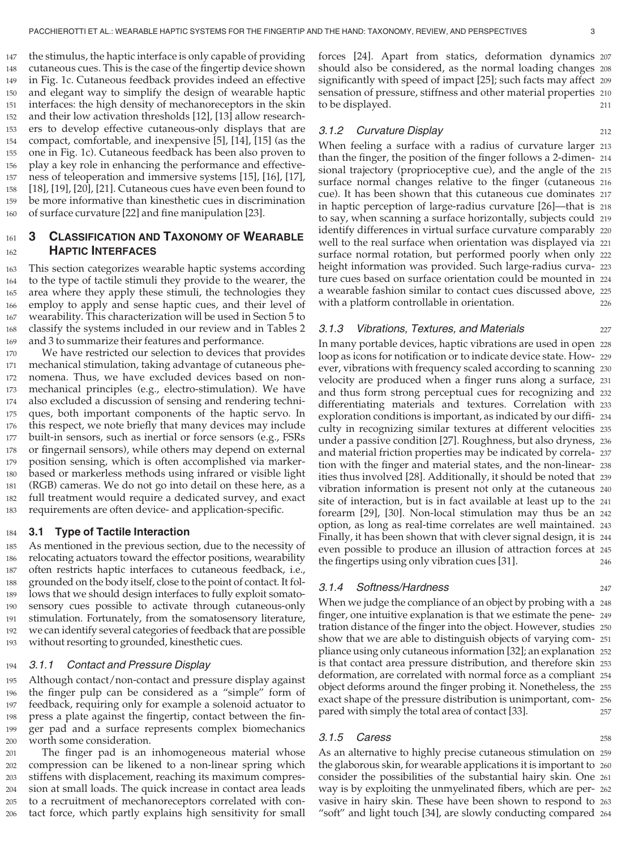the stimulus, the haptic interface is only capable of providing cutaneous cues. This is the case of the fingertip device shown in Fig. 1c. Cutaneous feedback provides indeed an effective and elegant way to simplify the design of wearable haptic interfaces: the high density of mechanoreceptors in the skin and their low activation thresholds [12], [13] allow research- ers to develop effective cutaneous-only displays that are compact, comfortable, and inexpensive [5], [14], [15] (as the one in Fig. 1c). Cutaneous feedback has been also proven to play a key role in enhancing the performance and effective- ness of teleoperation and immersive systems [15], [16], [17], [18], [19], [20], [21]. Cutaneous cues have even been found to be more informative than kinesthetic cues in discrimination of surface curvature [22] and fine manipulation [23].

# 161 3 CLASSIFICATION AND TAXONOMY OF WEARABLE 162 **HAPTIC INTERFACES**

 This section categorizes wearable haptic systems according to the type of tactile stimuli they provide to the wearer, the area where they apply these stimuli, the technologies they employ to apply and sense haptic cues, and their level of wearability. This characterization will be used in Section 5 to classify the systems included in our review and in Tables 2 and 3 to summarize their features and performance.

 We have restricted our selection to devices that provides mechanical stimulation, taking advantage of cutaneous phe- nomena. Thus, we have excluded devices based on non- mechanical principles (e.g., electro-stimulation). We have also excluded a discussion of sensing and rendering techni- ques, both important components of the haptic servo. In this respect, we note briefly that many devices may include built-in sensors, such as inertial or force sensors (e.g., FSRs or fingernail sensors), while others may depend on external position sensing, which is often accomplished via marker- based or markerless methods using infrared or visible light (RGB) cameras. We do not go into detail on these here, as a full treatment would require a dedicated survey, and exact requirements are often device- and application-specific.

#### 184 3.1 Type of Tactile Interaction

 As mentioned in the previous section, due to the necessity of relocating actuators toward the effector positions, wearability often restricts haptic interfaces to cutaneous feedback, i.e., grounded on the body itself, close to the point of contact. It fol- lows that we should design interfaces to fully exploit somato- sensory cues possible to activate through cutaneous-only stimulation. Fortunately, from the somatosensory literature, we can identify several categories of feedback that are possible without resorting to grounded, kinesthetic cues.

## <sup>194</sup> 3.1.1 Contact and Pressure Display

 Although contact/non-contact and pressure display against the finger pulp can be considered as a "simple" form of feedback, requiring only for example a solenoid actuator to press a plate against the fingertip, contact between the fin- ger pad and a surface represents complex biomechanics worth some consideration.

 The finger pad is an inhomogeneous material whose compression can be likened to a non-linear spring which stiffens with displacement, reaching its maximum compres- sion at small loads. The quick increase in contact area leads to a recruitment of mechanoreceptors correlated with con-tact force, which partly explains high sensitivity for small

forces [24]. Apart from statics, deformation dynamics 207 should also be considered, as the normal loading changes 208 significantly with speed of impact [25]; such facts may affect 209 sensation of pressure, stiffness and other material properties 210 to be displayed.

#### 3.1.2 Curvature Display 212

When feeling a surface with a radius of curvature larger 213 than the finger, the position of the finger follows a 2-dimen- 214 sional trajectory (proprioceptive cue), and the angle of the 215 surface normal changes relative to the finger (cutaneous 216 cue). It has been shown that this cutaneous cue dominates 217 in haptic perception of large-radius curvature [26]—that is 218 to say, when scanning a surface horizontally, subjects could 219 identify differences in virtual surface curvature comparably 220 well to the real surface when orientation was displayed via 221 surface normal rotation, but performed poorly when only 222 height information was provided. Such large-radius curva- 223 ture cues based on surface orientation could be mounted in 224 a wearable fashion similar to contact cues discussed above, 225 with a platform controllable in orientation. 226

## 3.1.3 Vibrations, Textures, and Materials 227

In many portable devices, haptic vibrations are used in open 228 loop as icons for notification or to indicate device state. How- 229 ever, vibrations with frequency scaled according to scanning 230 velocity are produced when a finger runs along a surface, 231 and thus form strong perceptual cues for recognizing and 232 differentiating materials and textures. Correlation with 233 exploration conditions is important, as indicated by our diffi- 234 culty in recognizing similar textures at different velocities 235 under a passive condition [27]. Roughness, but also dryness, 236 and material friction properties may be indicated by correla- 237 tion with the finger and material states, and the non-linear- 238 ities thus involved [28]. Additionally, it should be noted that 239 vibration information is present not only at the cutaneous 240 site of interaction, but is in fact available at least up to the 241 forearm [29], [30]. Non-local stimulation may thus be an 242 option, as long as real-time correlates are well maintained. 243 Finally, it has been shown that with clever signal design, it is 244 even possible to produce an illusion of attraction forces at 245 the fingertips using only vibration cues [31]. 246

#### 3.1.4 Softness/Hardness <sup>247</sup>

When we judge the compliance of an object by probing with a 248 finger, one intuitive explanation is that we estimate the pene- 249 tration distance of the finger into the object. However, studies 250 show that we are able to distinguish objects of varying com- 251 pliance using only cutaneous information [32]; an explanation 252 is that contact area pressure distribution, and therefore skin 253 deformation, are correlated with normal force as a compliant 254 object deforms around the finger probing it. Nonetheless, the 255 exact shape of the pressure distribution is unimportant, com- 256 pared with simply the total area of contact [33]. 257

#### $3.1.5$  Caress  $258$

As an alternative to highly precise cutaneous stimulation on 259 the glaborous skin, for wearable applications it is important to 260 consider the possibilities of the substantial hairy skin. One 261 way is by exploiting the unmyelinated fibers, which are per- 262 vasive in hairy skin. These have been shown to respond to 263 "soft" and light touch [34], are slowly conducting compared 264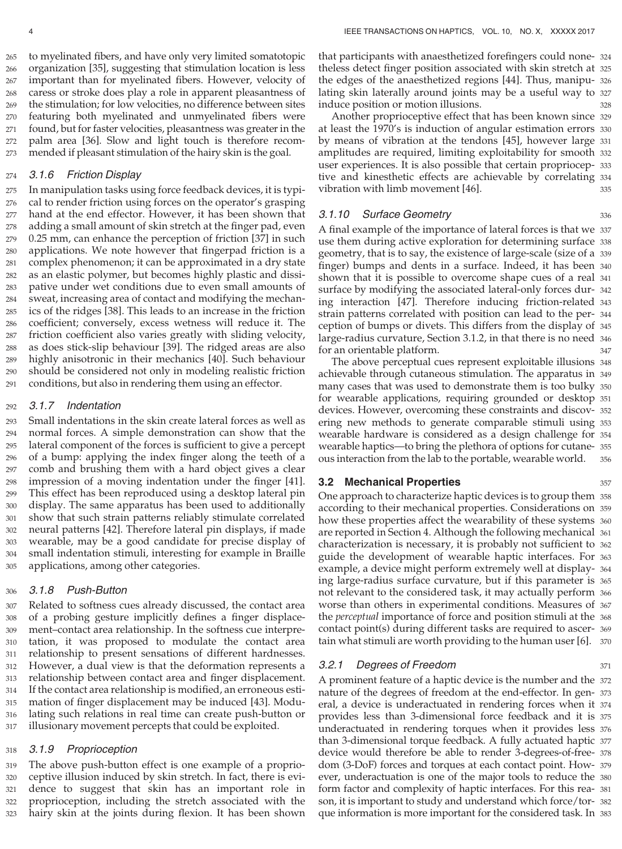to myelinated fibers, and have only very limited somatotopic organization [35], suggesting that stimulation location is less important than for myelinated fibers. However, velocity of caress or stroke does play a role in apparent pleasantness of the stimulation; for low velocities, no difference between sites featuring both myelinated and unmyelinated fibers were found, but for faster velocities, pleasantness was greater in the palm area [36]. Slow and light touch is therefore recom-mended if pleasant stimulation of the hairy skin is the goal.

# <sup>274</sup> 3.1.6 Friction Display

 In manipulation tasks using force feedback devices, it is typi- cal to render friction using forces on the operator's grasping hand at the end effector. However, it has been shown that adding a small amount of skin stretch at the finger pad, even 0.25 mm, can enhance the perception of friction [37] in such applications. We note however that fingerpad friction is a complex phenomenon; it can be approximated in a dry state as an elastic polymer, but becomes highly plastic and dissi- pative under wet conditions due to even small amounts of sweat, increasing area of contact and modifying the mechan- ics of the ridges [38]. This leads to an increase in the friction coefficient; conversely, excess wetness will reduce it. The friction coefficient also varies greatly with sliding velocity, as does stick-slip behaviour [39]. The ridged areas are also highly anisotronic in their mechanics [40]. Such behaviour should be considered not only in modeling realistic friction conditions, but also in rendering them using an effector.

#### <sup>292</sup> 3.1.7 Indentation

 Small indentations in the skin create lateral forces as well as normal forces. A simple demonstration can show that the lateral component of the forces is sufficient to give a percept of a bump: applying the index finger along the teeth of a comb and brushing them with a hard object gives a clear impression of a moving indentation under the finger [41]. This effect has been reproduced using a desktop lateral pin display. The same apparatus has been used to additionally show that such strain patterns reliably stimulate correlated neural patterns [42]. Therefore lateral pin displays, if made wearable, may be a good candidate for precise display of small indentation stimuli, interesting for example in Braille applications, among other categories.

#### <sup>306</sup> 3.1.8 Push-Button

 Related to softness cues already discussed, the contact area of a probing gesture implicitly defines a finger displace- ment–contact area relationship. In the softness cue interpre- tation, it was proposed to modulate the contact area relationship to present sensations of different hardnesses. However, a dual view is that the deformation represents a relationship between contact area and finger displacement. If the contact area relationship is modified, an erroneous esti- mation of finger displacement may be induced [43]. Modu- lating such relations in real time can create push-button or illusionary movement percepts that could be exploited.

#### <sup>318</sup> 3.1.9 Proprioception

 The above push-button effect is one example of a proprio- ceptive illusion induced by skin stretch. In fact, there is evi- dence to suggest that skin has an important role in proprioception, including the stretch associated with the hairy skin at the joints during flexion. It has been shown that participants with anaesthetized forefingers could none- 324 theless detect finger position associated with skin stretch at 325 the edges of the anaesthetized regions [44]. Thus, manipu- 326 lating skin laterally around joints may be a useful way to 327 induce position or motion illusions. 328

Another proprioceptive effect that has been known since 329 at least the 1970's is induction of angular estimation errors 330 by means of vibration at the tendons [45], however large 331 amplitudes are required, limiting exploitability for smooth 332 user experiences. It is also possible that certain propriocep- 333 tive and kinesthetic effects are achievable by correlating 334 vibration with limb movement [46]. 335

#### 3.1.10 Surface Geometry 336

A final example of the importance of lateral forces is that we 337 use them during active exploration for determining surface 338 geometry, that is to say, the existence of large-scale (size of a 339 finger) bumps and dents in a surface. Indeed, it has been 340 shown that it is possible to overcome shape cues of a real 341 surface by modifying the associated lateral-only forces dur- 342 ing interaction [47]. Therefore inducing friction-related 343 strain patterns correlated with position can lead to the per- 344 ception of bumps or divets. This differs from the display of 345 large-radius curvature, Section 3.1.2, in that there is no need 346 for an orientable platform.

The above perceptual cues represent exploitable illusions 348 achievable through cutaneous stimulation. The apparatus in 349 many cases that was used to demonstrate them is too bulky 350 for wearable applications, requiring grounded or desktop 351 devices. However, overcoming these constraints and discov- 352 ering new methods to generate comparable stimuli using 353 wearable hardware is considered as a design challenge for 354 wearable haptics—to bring the plethora of options for cutane- 355 ous interaction from the lab to the portable, wearable world. 356

#### **3.2 Mechanical Properties** 357

One approach to characterize haptic devices is to group them 358 according to their mechanical properties. Considerations on 359 how these properties affect the wearability of these systems 360 are reported in Section 4. Although the following mechanical 361 characterization is necessary, it is probably not sufficient to 362 guide the development of wearable haptic interfaces. For 363 example, a device might perform extremely well at display- 364 ing large-radius surface curvature, but if this parameter is 365 not relevant to the considered task, it may actually perform 366 worse than others in experimental conditions. Measures of 367 the *perceptual* importance of force and position stimuli at the 368 contact point(s) during different tasks are required to ascer- 369 tain what stimuli are worth providing to the human user [6]. 370

# 3.2.1 Degrees of Freedom 371

A prominent feature of a haptic device is the number and the 372 nature of the degrees of freedom at the end-effector. In gen- 373 eral, a device is underactuated in rendering forces when it 374 provides less than 3-dimensional force feedback and it is 375 underactuated in rendering torques when it provides less 376 than 3-dimensional torque feedback. A fully actuated haptic 377 device would therefore be able to render 3-degrees-of-free- 378 dom (3-DoF) forces and torques at each contact point. How- 379 ever, underactuation is one of the major tools to reduce the 380 form factor and complexity of haptic interfaces. For this rea- 381 son, it is important to study and understand which force/tor- 382 que information is more important for the considered task. In 383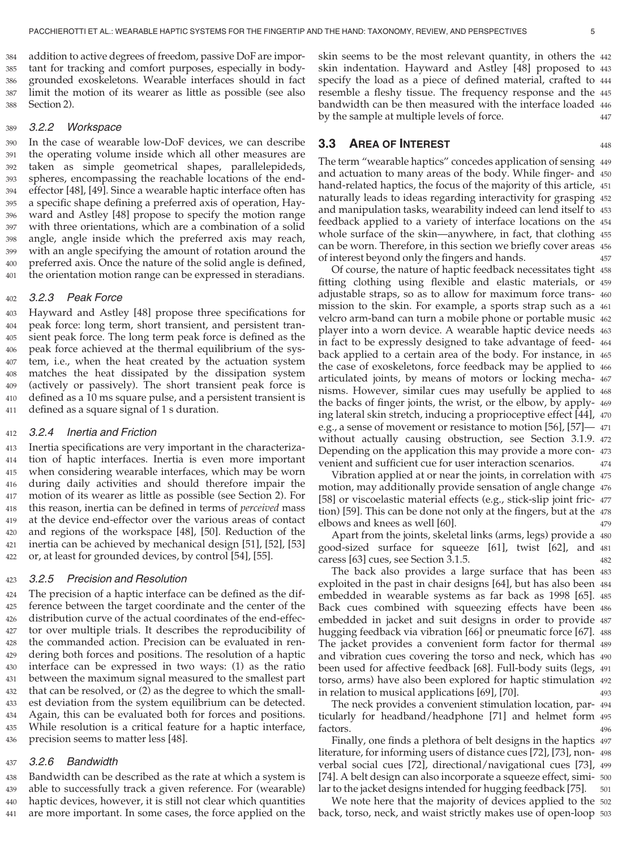addition to active degrees of freedom, passive DoF are impor- tant for tracking and comfort purposes, especially in body- grounded exoskeletons. Wearable interfaces should in fact limit the motion of its wearer as little as possible (see also Section 2).

#### <sup>389</sup> 3.2.2 Workspace

 In the case of wearable low-DoF devices, we can describe the operating volume inside which all other measures are taken as simple geometrical shapes, parallelepideds, spheres, encompassing the reachable locations of the end- effector [48], [49]. Since a wearable haptic interface often has a specific shape defining a preferred axis of operation, Hay- ward and Astley [48] propose to specify the motion range with three orientations, which are a combination of a solid angle, angle inside which the preferred axis may reach, with an angle specifying the amount of rotation around the preferred axis. Once the nature of the solid angle is defined, the orientation motion range can be expressed in steradians.

# <sup>402</sup> 3.2.3 Peak Force

 Hayward and Astley [48] propose three specifications for peak force: long term, short transient, and persistent tran- sient peak force. The long term peak force is defined as the peak force achieved at the thermal equilibrium of the sys- tem, i.e., when the heat created by the actuation system matches the heat dissipated by the dissipation system (actively or passively). The short transient peak force is defined as a 10 ms square pulse, and a persistent transient is defined as a square signal of 1 s duration.

#### <sup>412</sup> 3.2.4 Inertia and Friction

 Inertia specifications are very important in the characteriza- tion of haptic interfaces. Inertia is even more important when considering wearable interfaces, which may be worn during daily activities and should therefore impair the motion of its wearer as little as possible (see Section 2). For 418 this reason, inertia can be defined in terms of *perceived* mass at the device end-effector over the various areas of contact and regions of the workspace [48], [50]. Reduction of the inertia can be achieved by mechanical design [51], [52], [53] or, at least for grounded devices, by control [54], [55].

#### <sup>423</sup> 3.2.5 Precision and Resolution

 The precision of a haptic interface can be defined as the dif- ference between the target coordinate and the center of the distribution curve of the actual coordinates of the end-effec- tor over multiple trials. It describes the reproducibility of the commanded action. Precision can be evaluated in ren- dering both forces and positions. The resolution of a haptic interface can be expressed in two ways: (1) as the ratio between the maximum signal measured to the smallest part that can be resolved, or (2) as the degree to which the small- est deviation from the system equilibrium can be detected. Again, this can be evaluated both for forces and positions. While resolution is a critical feature for a haptic interface, precision seems to matter less [48].

#### <sup>437</sup> 3.2.6 Bandwidth

 Bandwidth can be described as the rate at which a system is able to successfully track a given reference. For (wearable) haptic devices, however, it is still not clear which quantities are more important. In some cases, the force applied on the

skin seems to be the most relevant quantity, in others the 442 skin indentation. Hayward and Astley [48] proposed to 443 specify the load as a piece of defined material, crafted to 444 resemble a fleshy tissue. The frequency response and the 445 bandwidth can be then measured with the interface loaded 446 by the sample at multiple levels of force.  $447$ 

# **3.3 AREA OF INTEREST** 448

The term "wearable haptics" concedes application of sensing 449 and actuation to many areas of the body. While finger- and 450 hand-related haptics, the focus of the majority of this article, 451 naturally leads to ideas regarding interactivity for grasping 452 and manipulation tasks, wearability indeed can lend itself to 453 feedback applied to a variety of interface locations on the 454 whole surface of the skin—anywhere, in fact, that clothing 455 can be worn. Therefore, in this section we briefly cover areas 456 of interest beyond only the fingers and hands. 457

Of course, the nature of haptic feedback necessitates tight 458 fitting clothing using flexible and elastic materials, or 459 adjustable straps, so as to allow for maximum force trans- 460 mission to the skin. For example, a sports strap such as a 461 velcro arm-band can turn a mobile phone or portable music 462 player into a worn device. A wearable haptic device needs 463 in fact to be expressly designed to take advantage of feed- 464 back applied to a certain area of the body. For instance, in 465 the case of exoskeletons, force feedback may be applied to 466 articulated joints, by means of motors or locking mecha- 467 nisms. However, similar cues may usefully be applied to 468 the backs of finger joints, the wrist, or the elbow, by apply- 469 ing lateral skin stretch, inducing a proprioceptive effect [44], 470 e.g., a sense of movement or resistance to motion [56], [57]— 471 without actually causing obstruction, see Section 3.1.9. 472 Depending on the application this may provide a more con- 473 venient and sufficient cue for user interaction scenarios. 474

Vibration applied at or near the joints, in correlation with 475 motion, may additionally provide sensation of angle change 476 [58] or viscoelastic material effects (e.g., stick-slip joint fric- 477 tion) [59]. This can be done not only at the fingers, but at the 478 elbows and knees as well  $[60]$ .  $479$ 

Apart from the joints, skeletal links (arms, legs) provide a 480 good-sized surface for squeeze [61], twist [62], and 481 caress [63] cues, see Section 3.1.5.

The back also provides a large surface that has been 483 exploited in the past in chair designs [64], but has also been 484 embedded in wearable systems as far back as 1998 [65]. 485 Back cues combined with squeezing effects have been 486 embedded in jacket and suit designs in order to provide 487 hugging feedback via vibration [66] or pneumatic force [67]. 488 The jacket provides a convenient form factor for thermal 489 and vibration cues covering the torso and neck, which has 490 been used for affective feedback [68]. Full-body suits (legs, 491 torso, arms) have also been explored for haptic stimulation 492 in relation to musical applications  $[69]$ ,  $[70]$ .

The neck provides a convenient stimulation location, par- 494 ticularly for headband/headphone [71] and helmet form 495 factors. 496

Finally, one finds a plethora of belt designs in the haptics 497 literature, for informing users of distance cues [72], [73], non- 498 verbal social cues [72], directional/navigational cues [73], 499 [74]. A belt design can also incorporate a squeeze effect, simi- 500 lar to the jacket designs intended for hugging feedback [75]. 501

We note here that the majority of devices applied to the  $502$ back, torso, neck, and waist strictly makes use of open-loop 503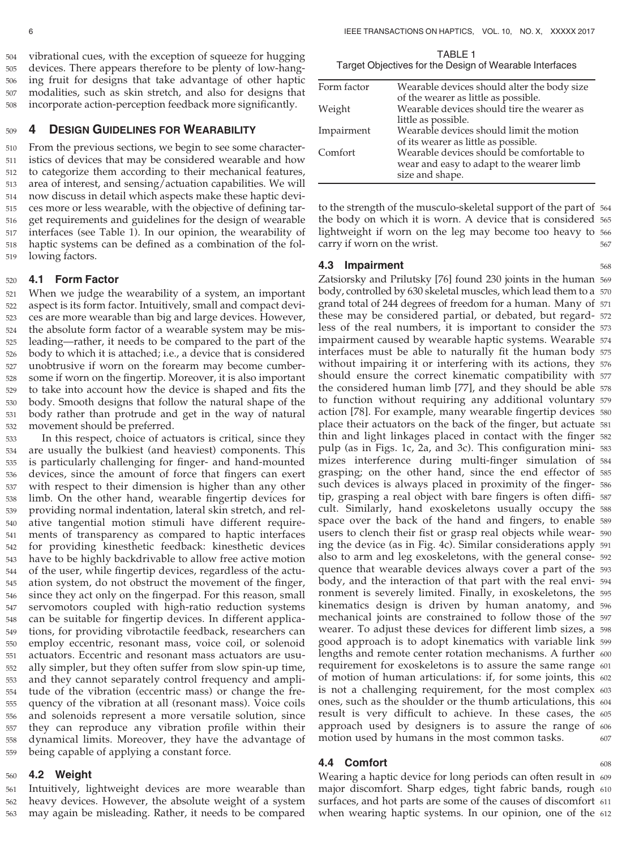vibrational cues, with the exception of squeeze for hugging devices. There appears therefore to be plenty of low-hang- ing fruit for designs that take advantage of other haptic modalities, such as skin stretch, and also for designs that incorporate action-perception feedback more significantly.

## <sup>509</sup> 4 DESIGN GUIDELINES FOR WEARABILITY

 From the previous sections, we begin to see some character- istics of devices that may be considered wearable and how to categorize them according to their mechanical features, area of interest, and sensing/actuation capabilities. We will now discuss in detail which aspects make these haptic devi- ces more or less wearable, with the objective of defining tar- get requirements and guidelines for the design of wearable interfaces (see Table 1). In our opinion, the wearability of haptic systems can be defined as a combination of the fol-lowing factors.

#### <sup>520</sup> 4.1 Form Factor

 When we judge the wearability of a system, an important aspect is its form factor. Intuitively, small and compact devi- ces are more wearable than big and large devices. However, the absolute form factor of a wearable system may be mis- leading—rather, it needs to be compared to the part of the body to which it is attached; i.e., a device that is considered unobtrusive if worn on the forearm may become cumber- some if worn on the fingertip. Moreover, it is also important to take into account how the device is shaped and fits the body. Smooth designs that follow the natural shape of the body rather than protrude and get in the way of natural movement should be preferred.

 In this respect, choice of actuators is critical, since they are usually the bulkiest (and heaviest) components. This is particularly challenging for finger- and hand-mounted devices, since the amount of force that fingers can exert with respect to their dimension is higher than any other limb. On the other hand, wearable fingertip devices for providing normal indentation, lateral skin stretch, and rel- ative tangential motion stimuli have different require- ments of transparency as compared to haptic interfaces for providing kinesthetic feedback: kinesthetic devices have to be highly backdrivable to allow free active motion of the user, while fingertip devices, regardless of the actu- ation system, do not obstruct the movement of the finger, since they act only on the fingerpad. For this reason, small servomotors coupled with high-ratio reduction systems can be suitable for fingertip devices. In different applica- tions, for providing vibrotactile feedback, researchers can employ eccentric, resonant mass, voice coil, or solenoid actuators. Eccentric and resonant mass actuators are usu- ally simpler, but they often suffer from slow spin-up time, and they cannot separately control frequency and ampli- tude of the vibration (eccentric mass) or change the fre- quency of the vibration at all (resonant mass). Voice coils and solenoids represent a more versatile solution, since they can reproduce any vibration profile within their dynamical limits. Moreover, they have the advantage of being capable of applying a constant force.

#### <sup>560</sup> 4.2 Weight

561 Intuitively, lightweight devices are more wearable than 562 heavy devices. However, the absolute weight of a system 563 may again be misleading. Rather, it needs to be compared

TABLE 1 Target Objectives for the Design of Wearable Interfaces

| Form factor | Wearable devices should alter the body size<br>of the wearer as little as possible.                       |
|-------------|-----------------------------------------------------------------------------------------------------------|
| Weight      | Wearable devices should tire the wearer as<br>little as possible.                                         |
| Impairment  | Wearable devices should limit the motion<br>of its wearer as little as possible.                          |
| Comfort     | Wearable devices should be comfortable to<br>wear and easy to adapt to the wearer limb<br>size and shape. |

to the strength of the musculo-skeletal support of the part of 564 the body on which it is worn. A device that is considered lightweight if worn on the leg may become too heavy to 566 carry if worn on the wrist. 567

#### **4.3 Impairment** 568

Zatsiorsky and Prilutsky [76] found 230 joints in the human 569 body, controlled by 630 skeletal muscles, which lead them to a 570 grand total of 244 degrees of freedom for a human. Many of 571 these may be considered partial, or debated, but regard- 572 less of the real numbers, it is important to consider the 573 impairment caused by wearable haptic systems. Wearable 574 interfaces must be able to naturally fit the human body 575 without impairing it or interfering with its actions, they 576 should ensure the correct kinematic compatibility with 577 the considered human limb [77], and they should be able 578 to function without requiring any additional voluntary 579 action [78]. For example, many wearable fingertip devices 580 place their actuators on the back of the finger, but actuate 581 thin and light linkages placed in contact with the finger 582 pulp (as in Figs. 1c, 2a, and 3c). This configuration mini- 583 mizes interference during multi-finger simulation of 584 grasping; on the other hand, since the end effector of 585 such devices is always placed in proximity of the finger- 586 tip, grasping a real object with bare fingers is often diffi- 587 cult. Similarly, hand exoskeletons usually occupy the 588 space over the back of the hand and fingers, to enable 589 users to clench their fist or grasp real objects while wear- 590 ing the device (as in Fig. 4c). Similar considerations apply 591 also to arm and leg exoskeletons, with the general conse- 592 quence that wearable devices always cover a part of the 593 body, and the interaction of that part with the real envi- 594 ronment is severely limited. Finally, in exoskeletons, the 595 kinematics design is driven by human anatomy, and 596 mechanical joints are constrained to follow those of the 597 wearer. To adjust these devices for different limb sizes, a 598 good approach is to adopt kinematics with variable link 599 lengths and remote center rotation mechanisms. A further 600 requirement for exoskeletons is to assure the same range 601 of motion of human articulations: if, for some joints, this 602 is not a challenging requirement, for the most complex 603 ones, such as the shoulder or the thumb articulations, this 604 result is very difficult to achieve. In these cases, the 605 approach used by designers is to assure the range of 606 motion used by humans in the most common tasks. 607

## 4.4 Comfort

Wearing a haptic device for long periods can often result in 609 major discomfort. Sharp edges, tight fabric bands, rough 610 surfaces, and hot parts are some of the causes of discomfort 611 when wearing haptic systems. In our opinion, one of the 612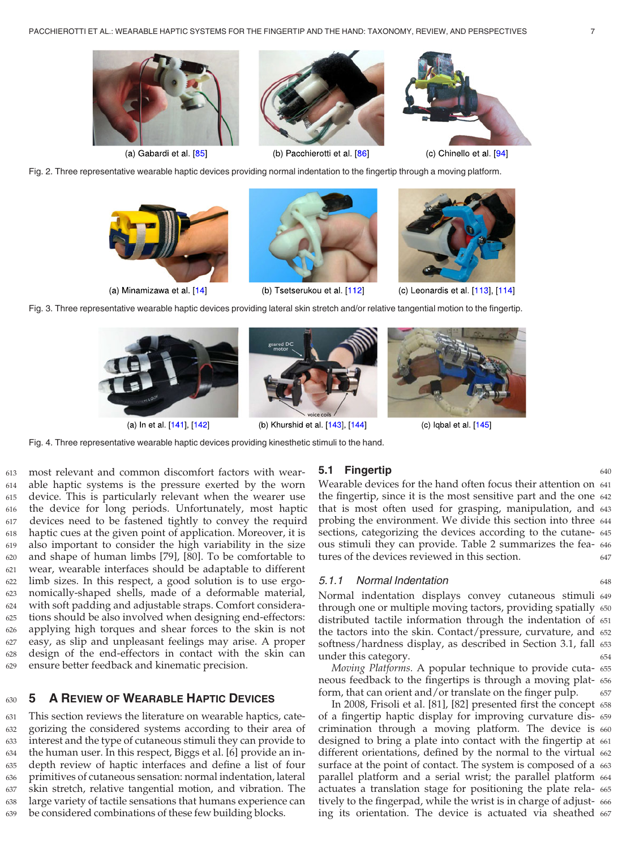(a) Gabardi et al. [85]





(a) Minamizawa et al. [14]



(b) Tsetserukou et al. [112]



(c) Leonardis et al. [113], [114]

Fig. 3. Three representative wearable haptic devices providing lateral skin stretch and/or relative tangential motion to the fingertip.



Fig. 4. Three representative wearable haptic devices providing kinesthetic stimuli to the hand.

 most relevant and common discomfort factors with wear- able haptic systems is the pressure exerted by the worn device. This is particularly relevant when the wearer use the device for long periods. Unfortunately, most haptic devices need to be fastened tightly to convey the requird haptic cues at the given point of application. Moreover, it is also important to consider the high variability in the size and shape of human limbs [79], [80]. To be comfortable to wear, wearable interfaces should be adaptable to different limb sizes. In this respect, a good solution is to use ergo- nomically-shaped shells, made of a deformable material, with soft padding and adjustable straps. Comfort considera- tions should be also involved when designing end-effectors: applying high torques and shear forces to the skin is not easy, as slip and unpleasant feelings may arise. A proper design of the end-effectors in contact with the skin can ensure better feedback and kinematic precision.

#### 630 **5 A REVIEW OF WEARABLE HAPTIC DEVICES**

 This section reviews the literature on wearable haptics, cate- gorizing the considered systems according to their area of interest and the type of cutaneous stimuli they can provide to the human user. In this respect, Biggs et al. [6] provide an in- depth review of haptic interfaces and define a list of four primitives of cutaneous sensation: normal indentation, lateral skin stretch, relative tangential motion, and vibration. The large variety of tactile sensations that humans experience can be considered combinations of these few building blocks.

#### **5.1 Fingertip 640 cm**  $\frac{640}{640}$

Wearable devices for the hand often focus their attention on 641 the fingertip, since it is the most sensitive part and the one 642 that is most often used for grasping, manipulation, and 643 probing the environment. We divide this section into three 644 sections, categorizing the devices according to the cutane- 645 ous stimuli they can provide. Table 2 summarizes the fea- 646 tures of the devices reviewed in this section.

## 5.1.1 Normal Indentation 648

Normal indentation displays convey cutaneous stimuli 649 through one or multiple moving tactors, providing spatially 650 distributed tactile information through the indentation of 651 the tactors into the skin. Contact/pressure, curvature, and 652 softness/hardness display, as described in Section 3.1, fall 653 under this category. 654

Moving Platforms. A popular technique to provide cuta- <sup>655</sup> neous feedback to the fingertips is through a moving plat- 656 form, that can orient and/or translate on the finger pulp.  $657$ 

In 2008, Frisoli et al. [81], [82] presented first the concept 658 of a fingertip haptic display for improving curvature dis- 659 crimination through a moving platform. The device is 660 designed to bring a plate into contact with the fingertip at 661 different orientations, defined by the normal to the virtual 662 surface at the point of contact. The system is composed of a 663 parallel platform and a serial wrist; the parallel platform 664 actuates a translation stage for positioning the plate rela- 665 tively to the fingerpad, while the wrist is in charge of adjust- 666 ing its orientation. The device is actuated via sheathed 667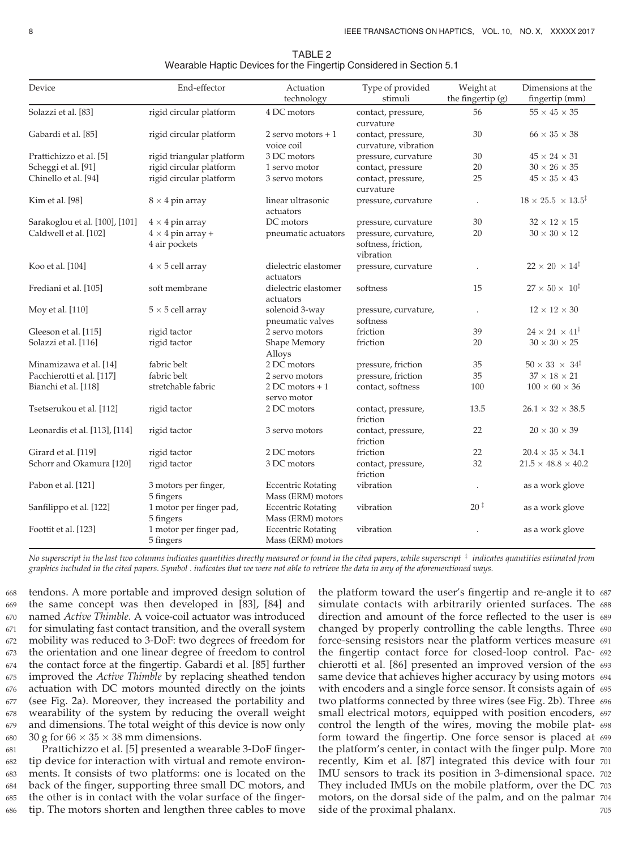| Device                         | End-effector                              | Actuation<br>technology                        | Type of provided<br>stimuli                              | Weight at<br>the fingertip (g) | Dimensions at the<br>fingertip (mm)     |
|--------------------------------|-------------------------------------------|------------------------------------------------|----------------------------------------------------------|--------------------------------|-----------------------------------------|
| Solazzi et al. [83]            | rigid circular platform                   | 4 DC motors                                    | contact, pressure,<br>curvature                          | 56                             | $55 \times 45 \times 35$                |
| Gabardi et al. [85]            | rigid circular platform                   | $2$ servo motors $+1$<br>voice coil            | contact, pressure,<br>curvature, vibration               | 30                             | $66 \times 35 \times 38$                |
| Prattichizzo et al. [5]        | rigid triangular platform                 | 3 DC motors                                    | pressure, curvature                                      | 30                             | $45 \times 24 \times 31$                |
| Scheggi et al. [91]            | rigid circular platform                   | 1 servo motor                                  | contact, pressure                                        | 20                             | $30 \times 26 \times 35$                |
| Chinello et al. [94]           | rigid circular platform                   | 3 servo motors                                 | contact, pressure,<br>curvature                          | 25                             | $45 \times 35 \times 43$                |
| Kim et al. [98]                | $8 \times 4$ pin array                    | linear ultrasonic<br>actuators                 | pressure, curvature                                      | $\cdot$                        | $18 \times 25.5 \times 13.5^{\ddagger}$ |
| Sarakoglou et al. [100], [101] | $4 \times 4$ pin array                    | DC motors                                      | pressure, curvature                                      | 30                             | $32 \times 12 \times 15$                |
| Caldwell et al. [102]          | $4 \times 4$ pin array +<br>4 air pockets | pneumatic actuators                            | pressure, curvature,<br>softness, friction,<br>vibration | 20                             | $30 \times 30 \times 12$                |
| Koo et al. [104]               | $4 \times 5$ cell array                   | dielectric elastomer<br>actuators              | pressure, curvature                                      |                                | $22 \times 20 \times 14^{3}$            |
| Frediani et al. [105]          | soft membrane                             | dielectric elastomer<br>actuators              | softness                                                 | 15                             | $27 \times 50 \times 10^{1}$            |
| Moy et al. [110]               | $5 \times 5$ cell array                   | solenoid 3-way<br>pneumatic valves             | pressure, curvature,<br>softness                         |                                | $12 \times 12 \times 30$                |
| Gleeson et al. [115]           | rigid tactor                              | 2 servo motors                                 | friction                                                 | 39                             | $24 \times 24 \times 41^{1}$            |
| Solazzi et al. [116]           | rigid tactor                              | Shape Memory<br>Alloys                         | friction                                                 | 20                             | $30\times30\times25$                    |
| Minamizawa et al. [14]         | fabric belt                               | 2 DC motors                                    | pressure, friction                                       | 35                             | $50 \times 33 \times 34^{4}$            |
| Pacchierotti et al. [117]      | fabric belt                               | 2 servo motors                                 | pressure, friction                                       | 35                             | $37 \times 18 \times 21$                |
| Bianchi et al. [118]           | stretchable fabric                        | $2 DC$ motors $+1$<br>servo motor              | contact, softness                                        | 100                            | $100 \times 60 \times 36$               |
| Tsetserukou et al. [112]       | rigid tactor                              | 2 DC motors                                    | contact, pressure,<br>friction                           | 13.5                           | $26.1\times32\times38.5$                |
| Leonardis et al. [113], [114]  | rigid tactor                              | 3 servo motors                                 | contact, pressure,<br>friction                           | 22                             | $20 \times 30 \times 39$                |
| Girard et al. [119]            | rigid tactor                              | 2 DC motors                                    | friction                                                 | 22                             | $20.4 \times 35 \times 34.1$            |
| Schorr and Okamura [120]       | rigid tactor                              | 3 DC motors                                    | contact, pressure,<br>friction                           | 32                             | $21.5 \times 48.8 \times 40.2$          |
| Pabon et al. [121]             | 3 motors per finger,<br>5 fingers         | <b>Eccentric Rotating</b><br>Mass (ERM) motors | vibration                                                |                                | as a work glove                         |
| Sanfilippo et al. [122]        | 1 motor per finger pad,<br>5 fingers      | <b>Eccentric Rotating</b><br>Mass (ERM) motors | vibration                                                | $20^{\frac{1}{2}}$             | as a work glove                         |
| Foottit et al. [123]           | 1 motor per finger pad,<br>5 fingers      | <b>Eccentric Rotating</b><br>Mass (ERM) motors | vibration                                                |                                | as a work glove                         |

TABLE 2 Wearable Haptic Devices for the Fingertip Considered in Section 5.1

No superscript in the last two columns indicates quantities directly measured or found in the cited papers, while superscript  $\ddagger$  indicates quantities estimated from graphics included in the cited papers. Symbol . indicates that we were not able to retrieve the data in any of the aforementioned ways.

 tendons. A more portable and improved design solution of the same concept was then developed in [83], [84] and named Active Thimble. A voice-coil actuator was introduced for simulating fast contact transition, and the overall system mobility was reduced to 3-DoF: two degrees of freedom for the orientation and one linear degree of freedom to control the contact force at the fingertip. Gabardi et al. [85] further improved the Active Thimble by replacing sheathed tendon actuation with DC motors mounted directly on the joints (see Fig. 2a). Moreover, they increased the portability and wearability of the system by reducing the overall weight and dimensions. The total weight of this device is now only

680 30 g for  $66 \times 35 \times 38$  mm dimensions.<br>681 Prattichizzo et al. [5] presented a v Prattichizzo et al. [5] presented a wearable 3-DoF finger- tip device for interaction with virtual and remote environ- ments. It consists of two platforms: one is located on the back of the finger, supporting three small DC motors, and the other is in contact with the volar surface of the finger-tip. The motors shorten and lengthen three cables to move

the platform toward the user's fingertip and re-angle it to 687 simulate contacts with arbitrarily oriented surfaces. The 688 direction and amount of the force reflected to the user is 689 changed by properly controlling the cable lengths. Three 690 force-sensing resistors near the platform vertices measure 691 the fingertip contact force for closed-loop control. Pac- 692 chierotti et al. [86] presented an improved version of the 693 same device that achieves higher accuracy by using motors 694 with encoders and a single force sensor. It consists again of 695 two platforms connected by three wires (see Fig. 2b). Three 696 small electrical motors, equipped with position encoders, 697 control the length of the wires, moving the mobile plat- 698 form toward the fingertip. One force sensor is placed at 699 the platform's center, in contact with the finger pulp. More 700 recently, Kim et al. [87] integrated this device with four 701 IMU sensors to track its position in 3-dimensional space. 702 They included IMUs on the mobile platform, over the DC 703 motors, on the dorsal side of the palm, and on the palmar 704 side of the proximal phalanx.  $\frac{705}{205}$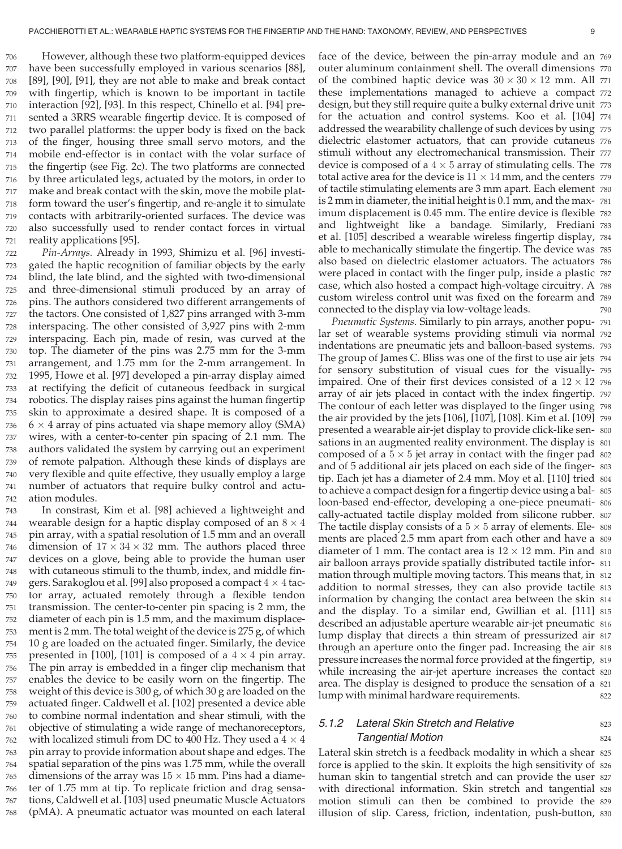However, although these two platform-equipped devices have been successfully employed in various scenarios [88], [89], [90], [91], they are not able to make and break contact with fingertip, which is known to be important in tactile interaction [92], [93]. In this respect, Chinello et al. [94] pre- sented a 3RRS wearable fingertip device. It is composed of two parallel platforms: the upper body is fixed on the back of the finger, housing three small servo motors, and the mobile end-effector is in contact with the volar surface of the fingertip (see Fig. 2c). The two platforms are connected by three articulated legs, actuated by the motors, in order to make and break contact with the skin, move the mobile plat- form toward the user's fingertip, and re-angle it to simulate contacts with arbitrarily-oriented surfaces. The device was also successfully used to render contact forces in virtual reality applications [95].

 Pin-Arrays. Already in 1993, Shimizu et al. [96] investi- gated the haptic recognition of familiar objects by the early blind, the late blind, and the sighted with two-dimensional and three-dimensional stimuli produced by an array of pins. The authors considered two different arrangements of the tactors. One consisted of 1,827 pins arranged with 3-mm interspacing. The other consisted of 3,927 pins with 2-mm interspacing. Each pin, made of resin, was curved at the top. The diameter of the pins was 2.75 mm for the 3-mm arrangement, and 1.75 mm for the 2-mm arrangement. In 1995, Howe et al. [97] developed a pin-array display aimed at rectifying the deficit of cutaneous feedback in surgical robotics. The display raises pins against the human fingertip skin to approximate a desired shape. It is composed of a  $736 \div 6 \times 4$  array of pins actuated via shape memory alloy (SMA)<br> $737$  wires, with a center-to-center pin spacing of 2.1 mm. The wires, with a center-to-center pin spacing of 2.1 mm. The authors validated the system by carrying out an experiment of remote palpation. Although these kinds of displays are very flexible and quite effective, they usually employ a large number of actuators that require bulky control and actu-ation modules.

 In constrast, Kim et al. [98] achieved a lightweight and 744 wearable design for a haptic display composed of an  $8 \times 4$ <br>745 pin array, with a spatial resolution of 1.5 mm and an overall pin array, with a spatial resolution of 1.5 mm and an overall 746 dimension of  $17 \times 34 \times 32$  mm. The authors placed three 747 devices on a glove, being able to provide the human user devices on a glove, being able to provide the human user with cutaneous stimuli to the thumb, index, and middle fin- gers. Sarakoglou et al. [99] also proposed a compact  $4 \times 4$  tac-<br> $750$  tor array, actuated remotely through a flexible tendon tor array, actuated remotely through a flexible tendon transmission. The center-to-center pin spacing is 2 mm, the diameter of each pin is 1.5 mm, and the maximum displace- ment is 2 mm. The total weight of the device is 275 g, of which 10 g are loaded on the actuated finger. Similarly, the device 755 presented in [100], [101] is composed of a  $4 \times 4$  pin array.<br>756 The pin array is embedded in a finger clip mechanism that The pin array is embedded in a finger clip mechanism that enables the device to be easily worn on the fingertip. The weight of this device is 300 g, of which 30 g are loaded on the actuated finger. Caldwell et al. [102] presented a device able to combine normal indentation and shear stimuli, with the objective of stimulating a wide range of mechanoreceptors, with localized stimuli from DC to 400 Hz. They used a  $4 \times 4$ <br> $763$  pin array to provide information about shape and edges. The pin array to provide information about shape and edges. The spatial separation of the pins was 1.75 mm, while the overall dimensions of the array was  $15 \times 15$  mm. Pins had a diame-<br> $766$  ter of 1.75 mm at tip. To replicate friction and drag sensater of 1.75 mm at tip. To replicate friction and drag sensa- tions, Caldwell et al. [103] used pneumatic Muscle Actuators (pMA). A pneumatic actuator was mounted on each lateral

face of the device, between the pin-array module and an 769 outer aluminum containment shell. The overall dimensions 770 of the combined haptic device was  $30 \times 30 \times 12$  mm. All 771 these implementations managed to achieve a compact 772 design, but they still require quite a bulky external drive unit 773 for the actuation and control systems. Koo et al. [104] 774 addressed the wearability challenge of such devices by using 775 dielectric elastomer actuators, that can provide cutaneus 776 stimuli without any electromechanical transmission. Their 777 device is composed of a  $4 \times 5$  array of stimulating cells. The 778 total active area for the device is  $11 \times 14$  mm, and the centers 779 of tactile stimulating elements are 3 mm apart. Each element 780 is 2 mm in diameter, the initial height is 0.1 mm, and the max- 781 imum displacement is 0.45 mm. The entire device is flexible 782 and lightweight like a bandage. Similarly, Frediani 783 et al. [105] described a wearable wireless fingertip display, 784 able to mechanically stimulate the fingertip. The device was 785 also based on dielectric elastomer actuators. The actuators 786 were placed in contact with the finger pulp, inside a plastic 787 case, which also hosted a compact high-voltage circuitry. A 788 custom wireless control unit was fixed on the forearm and 789 connected to the display via low-voltage leads.

Pneumatic Systems. Similarly to pin arrays, another popu- <sup>791</sup> lar set of wearable systems providing stimuli via normal 792 indentations are pneumatic jets and balloon-based systems. 793 The group of James C. Bliss was one of the first to use air jets 794 for sensory substitution of visual cues for the visually- 795 impaired. One of their first devices consisted of a  $12 \times 12$  796 array of air jets placed in contact with the index fingertip. 797 The contour of each letter was displayed to the finger using 798 the air provided by the jets [106], [107], [108]. Kim et al. [109] 799 presented a wearable air-jet display to provide click-like sen- 800 sations in an augmented reality environment. The display is  $801$ composed of a  $5 \times 5$  jet array in contact with the finger pad  $\frac{802}{2}$  and of 5 additional air jets placed on each side of the finger-  $\frac{803}{2}$ and of 5 additional air jets placed on each side of the fingertip. Each jet has a diameter of 2.4 mm. Moy et al. [110] tried 804 to achieve a compact design for a fingertip device using a balloon-based end-effector, developing a one-piece pneumatically-actuated tactile display molded from silicone rubber. 807 The tactile display consists of a  $5 \times 5$  array of elements. Ele- 808 ments are placed 2.5 mm apart from each other and have a  $809$ diameter of 1 mm. The contact area is  $12 \times 12$  mm. Pin and 810 air balloon arrays provide spatially distributed tactile infor- 811 mation through multiple moving tactors. This means that, in 812 addition to normal stresses, they can also provide tactile 813 information by changing the contact area between the skin 814 and the display. To a similar end, Gwillian et al. [111] 815 described an adjustable aperture wearable air-jet pneumatic 816 lump display that directs a thin stream of pressurized air 817 through an aperture onto the finger pad. Increasing the air 818 pressure increases the normal force provided at the fingertip, 819 while increasing the air-jet aperture increases the contact 820 area. The display is designed to produce the sensation of a 821 lump with minimal hardware requirements. 822

# 5.1.2 Lateral Skin Stretch and Relative 823 Tangential Motion 824

Lateral skin stretch is a feedback modality in which a shear 825 force is applied to the skin. It exploits the high sensitivity of 826 human skin to tangential stretch and can provide the user 827 with directional information. Skin stretch and tangential 828 motion stimuli can then be combined to provide the 829 illusion of slip. Caress, friction, indentation, push-button, 830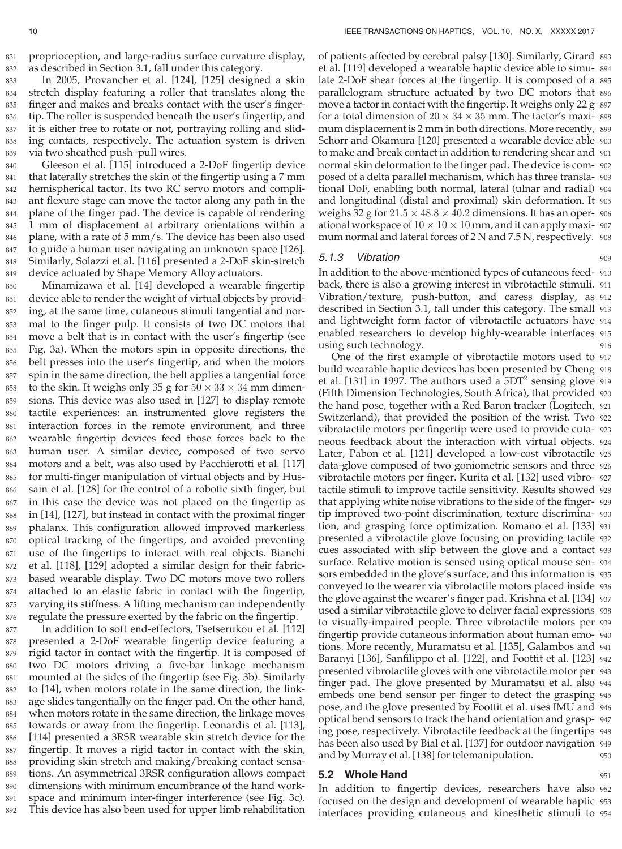831 proprioception, and large-radius surface curvature display, 832 as described in Section 3.1, fall under this category.

 In 2005, Provancher et al. [124], [125] designed a skin stretch display featuring a roller that translates along the finger and makes and breaks contact with the user's finger- tip. The roller is suspended beneath the user's fingertip, and it is either free to rotate or not, portraying rolling and slid- ing contacts, respectively. The actuation system is driven via two sheathed push–pull wires.

 Gleeson et al. [115] introduced a 2-DoF fingertip device that laterally stretches the skin of the fingertip using a 7 mm hemispherical tactor. Its two RC servo motors and compli- ant flexure stage can move the tactor along any path in the plane of the finger pad. The device is capable of rendering 1 mm of displacement at arbitrary orientations within a plane, with a rate of 5 mm/s. The device has been also used to guide a human user navigating an unknown space [126]. Similarly, Solazzi et al. [116] presented a 2-DoF skin-stretch device actuated by Shape Memory Alloy actuators.

 Minamizawa et al. [14] developed a wearable fingertip device able to render the weight of virtual objects by provid- ing, at the same time, cutaneous stimuli tangential and nor- mal to the finger pulp. It consists of two DC motors that move a belt that is in contact with the user's fingertip (see Fig. 3a). When the motors spin in opposite directions, the belt presses into the user's fingertip, and when the motors spin in the same direction, the belt applies a tangential force 858 to the skin. It weighs only 35 g for  $50 \times 33 \times 34$  mm dimen-<br>859 sions. This device was also used in [127] to display remote sions. This device was also used in [127] to display remote tactile experiences: an instrumented glove registers the interaction forces in the remote environment, and three wearable fingertip devices feed those forces back to the human user. A similar device, composed of two servo motors and a belt, was also used by Pacchierotti et al. [117] for multi-finger manipulation of virtual objects and by Hus- sain et al. [128] for the control of a robotic sixth finger, but in this case the device was not placed on the fingertip as in [14], [127], but instead in contact with the proximal finger phalanx. This configuration allowed improved markerless optical tracking of the fingertips, and avoided preventing use of the fingertips to interact with real objects. Bianchi et al. [118], [129] adopted a similar design for their fabric- based wearable display. Two DC motors move two rollers attached to an elastic fabric in contact with the fingertip, varying its stiffness. A lifting mechanism can independently regulate the pressure exerted by the fabric on the fingertip.

 In addition to soft end-effectors, Tsetserukou et al. [112] presented a 2-DoF wearable fingertip device featuring a rigid tactor in contact with the fingertip. It is composed of two DC motors driving a five-bar linkage mechanism mounted at the sides of the fingertip (see Fig. 3b). Similarly to [14], when motors rotate in the same direction, the link- age slides tangentially on the finger pad. On the other hand, when motors rotate in the same direction, the linkage moves towards or away from the fingertip. Leonardis et al. [113], [114] presented a 3RSR wearable skin stretch device for the fingertip. It moves a rigid tactor in contact with the skin, providing skin stretch and making/breaking contact sensa- tions. An asymmetrical 3RSR configuration allows compact dimensions with minimum encumbrance of the hand work- space and minimum inter-finger interference (see Fig. 3c). This device has also been used for upper limb rehabilitation

of patients affected by cerebral palsy [130]. Similarly, Girard 893 et al. [119] developed a wearable haptic device able to simu- 894 late 2-DoF shear forces at the fingertip. It is composed of a 895 parallelogram structure actuated by two DC motors that 896 move a tactor in contact with the fingertip. It weighs only  $22 g$  897 for a total dimension of  $20 \times 34 \times 35$  mm. The tactor's maxi- 898 mum displacement is 2 mm in both directions. More recently, 899 mum displacement is 2 mm in both directions. More recently, Schorr and Okamura [120] presented a wearable device able to make and break contact in addition to rendering shear and 901 normal skin deformation to the finger pad. The device is com- 902 posed of a delta parallel mechanism, which has three transla- 903 tional DoF, enabling both normal, lateral (ulnar and radial) 904 and longitudinal (distal and proximal) skin deformation. It 905 weighs 32 g for  $21.5 \times 48.8 \times 40.2$  dimensions. It has an oper- 906 ational workspace of  $10 \times 10 \times 10$  mm, and it can apply maxiational workspace of  $10 \times 10 \times 10$  mm, and it can apply maximum normal and lateral forces of  $2$  N and  $7.5$  N, respectively.

# **5.1.3 Vibration** 909

In addition to the above-mentioned types of cutaneous feed- 910 back, there is also a growing interest in vibrotactile stimuli. 911 Vibration/texture, push-button, and caress display, as 912 described in Section 3.1, fall under this category. The small 913 and lightweight form factor of vibrotactile actuators have 914 enabled researchers to develop highly-wearable interfaces 915 using such technology. 916

One of the first example of vibrotactile motors used to 917 build wearable haptic devices has been presented by Cheng 918 et al. [131] in 1997. The authors used a  $5DT<sup>2</sup>$  sensing glove  $919$ (Fifth Dimension Technologies, South Africa), that provided 920 the hand pose, together with a Red Baron tracker (Logitech, 921 Switzerland), that provided the position of the wrist. Two 922 vibrotactile motors per fingertip were used to provide cuta- 923 neous feedback about the interaction with virtual objects. 924 Later, Pabon et al. [121] developed a low-cost vibrotactile 925 data-glove composed of two goniometric sensors and three 926 vibrotactile motors per finger. Kurita et al. [132] used vibro- 927 tactile stimuli to improve tactile sensitivity. Results showed 928 that applying white noise vibrations to the side of the finger- 929 tip improved two-point discrimination, texture discrimination, and grasping force optimization. Romano et al. [133] 931 presented a vibrotactile glove focusing on providing tactile 932 cues associated with slip between the glove and a contact 933 surface. Relative motion is sensed using optical mouse sen- 934 sors embedded in the glove's surface, and this information is 935 conveyed to the wearer via vibrotactile motors placed inside 936 the glove against the wearer's finger pad. Krishna et al. [134] 937 used a similar vibrotactile glove to deliver facial expressions 938 to visually-impaired people. Three vibrotactile motors per 939 fingertip provide cutaneous information about human emo- 940 tions. More recently, Muramatsu et al. [135], Galambos and 941 Baranyi [136], Sanfilippo et al. [122], and Foottit et al. [123] 942 presented vibrotactile gloves with one vibrotactile motor per 943 finger pad. The glove presented by Muramatsu et al. also 944 embeds one bend sensor per finger to detect the grasping 945 pose, and the glove presented by Foottit et al. uses IMU and 946 optical bend sensors to track the hand orientation and grasp- 947 ing pose, respectively. Vibrotactile feedback at the fingertips 948 has been also used by Bial et al. [137] for outdoor navigation 949 and by Murray et al. [138] for telemanipulation. 950

#### **5.2 Whole Hand 951**

In addition to fingertip devices, researchers have also 952 focused on the design and development of wearable haptic 953 interfaces providing cutaneous and kinesthetic stimuli to 954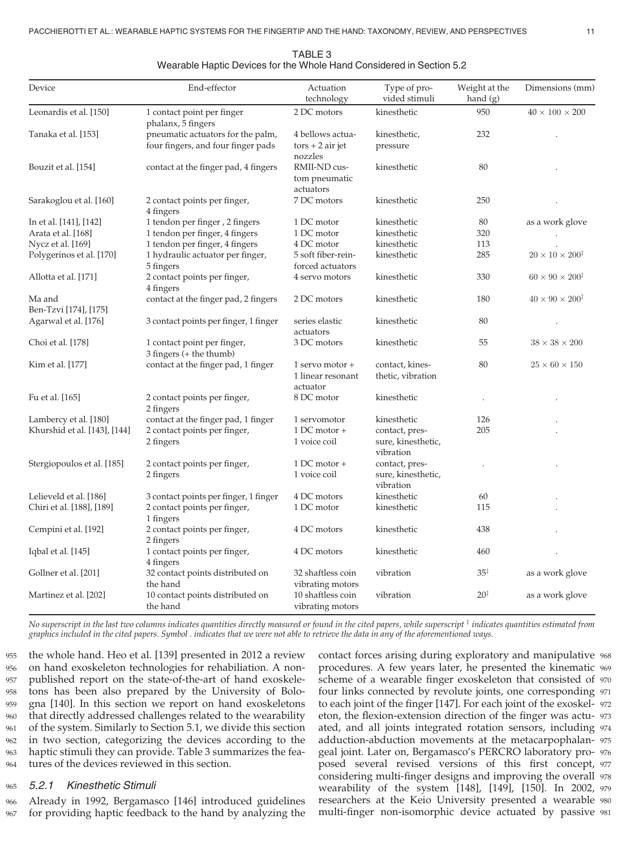| Device                          | End-effector                                                            | Actuation<br>technology                           | Type of pro-<br>vided stimuli                     | Weight at the<br>hand $(g)$ | Dimensions (mm)               |
|---------------------------------|-------------------------------------------------------------------------|---------------------------------------------------|---------------------------------------------------|-----------------------------|-------------------------------|
| Leonardis et al. [150]          | 1 contact point per finger<br>phalanx, 5 fingers                        | 2 DC motors                                       | kinesthetic                                       | 950                         | $40 \times 100 \times 200$    |
| Tanaka et al. [153]             | pneumatic actuators for the palm,<br>four fingers, and four finger pads | 4 bellows actua-<br>$tors + 2 air jet$<br>nozzles | kinesthetic,<br>pressure                          | 232                         |                               |
| Bouzit et al. [154]             | contact at the finger pad, 4 fingers                                    | RMII-ND cus-<br>tom pneumatic<br>actuators        | kinesthetic                                       | 80                          |                               |
| Sarakoglou et al. [160]         | 2 contact points per finger,<br>4 fingers                               | 7 DC motors                                       | kinesthetic                                       | 250                         |                               |
| In et al. [141], [142]          | 1 tendon per finger, 2 fingers                                          | 1 DC motor                                        | kinesthetic                                       | 80                          | as a work glove               |
| Arata et al. [168]              | 1 tendon per finger, 4 fingers                                          | 1 DC motor                                        | kinesthetic                                       | 320                         |                               |
| Nycz et al. [169]               | 1 tendon per finger, 4 fingers                                          | 4 DC motor                                        | kinesthetic                                       | 113                         |                               |
| Polygerinos et al. [170]        | 1 hydraulic actuator per finger,<br>5 fingers                           | 5 soft fiber-rein-<br>forced actuators            | kinesthetic                                       | 285                         | $20 \times 10 \times 200^{3}$ |
| Allotta et al. [171]            | 2 contact points per finger,<br>4 fingers                               | 4 servo motors                                    | kinesthetic                                       | 330                         | $60 \times 90 \times 200^{1}$ |
| Ma and<br>Ben-Tzvi [174], [175] | contact at the finger pad, 2 fingers                                    | 2 DC motors                                       | kinesthetic                                       | 180                         | $40 \times 90 \times 200^{1}$ |
| Agarwal et al. [176]            | 3 contact points per finger, 1 finger                                   | series elastic<br>actuators                       | kinesthetic                                       | 80                          |                               |
| Choi et al. [178]               | 1 contact point per finger,<br>3 fingers (+ the thumb)                  | 3 DC motors                                       | kinesthetic                                       | 55                          | $38 \times 38 \times 200$     |
| Kim et al. [177]                | contact at the finger pad, 1 finger                                     | 1 servo motor +<br>1 linear resonant<br>actuator  | contact, kines-<br>thetic, vibration              | 80                          | $25 \times 60 \times 150$     |
| Fu et al. [165]                 | 2 contact points per finger,<br>2 fingers                               | 8 DC motor                                        | kinesthetic                                       |                             |                               |
| Lambercy et al. [180]           | contact at the finger pad, 1 finger                                     | 1 servomotor                                      | kinesthetic                                       | 126                         |                               |
| Khurshid et al. [143], [144]    | 2 contact points per finger,                                            | $1DC motor +$                                     | contact, pres-                                    | 205                         |                               |
|                                 | 2 fingers                                                               | 1 voice coil                                      | sure, kinesthetic,<br>vibration                   |                             |                               |
| Stergiopoulos et al. [185]      | 2 contact points per finger,<br>2 fingers                               | 1 DC motor +<br>1 voice coil                      | contact, pres-<br>sure, kinesthetic,<br>vibration |                             |                               |
| Lelieveld et al. [186]          | 3 contact points per finger, 1 finger                                   | 4 DC motors                                       | kinesthetic                                       | 60                          |                               |
| Chiri et al. [188], [189]       | 2 contact points per finger,<br>1 fingers                               | 1 DC motor                                        | kinesthetic                                       | 115                         |                               |
| Cempini et al. [192]            | 2 contact points per finger,<br>2 fingers                               | 4 DC motors                                       | kinesthetic                                       | 438                         |                               |
| Iqbal et al. [145]              | 1 contact points per finger,<br>4 fingers                               | 4 DC motors                                       | kinesthetic                                       | 460                         |                               |
| Gollner et al. [201]            | 32 contact points distributed on<br>the hand                            | 32 shaftless coin<br>vibrating motors             | vibration                                         | $35^{\ddagger}$             | as a work glove               |
| Martinez et al. [202]           | 10 contact points distributed on<br>the hand                            | 10 shaftless coin<br>vibrating motors             | vibration                                         | $20^{\ddagger}$             | as a work glove               |

TABLE 3 Wearable Haptic Devices for the Whole Hand Considered in Section 5.2

No superscript in the last two columns indicates quantities directly measured or found in the cited papers, while superscript  $\ddagger$  indicates quantities estimated from graphics included in the cited papers. Symbol . indicates that we were not able to retrieve the data in any of the aforementioned ways.

 the whole hand. Heo et al. [139] presented in 2012 a review on hand exoskeleton technologies for rehabiliation. A non- published report on the state-of-the-art of hand exoskele- tons has been also prepared by the University of Bolo- gna [140]. In this section we report on hand exoskeletons that directly addressed challenges related to the wearability of the system. Similarly to Section 5.1, we divide this section in two section, categorizing the devices according to the haptic stimuli they can provide. Table 3 summarizes the fea-tures of the devices reviewed in this section.

#### <sup>965</sup> 5.2.1 Kinesthetic Stimuli

966 Already in 1992, Bergamasco [146] introduced guidelines 967 for providing haptic feedback to the hand by analyzing the

contact forces arising during exploratory and manipulative 968 procedures. A few years later, he presented the kinematic 969 scheme of a wearable finger exoskeleton that consisted of 970 four links connected by revolute joints, one corresponding 971 to each joint of the finger [147]. For each joint of the exoskel- 972 eton, the flexion-extension direction of the finger was actu- 973 ated, and all joints integrated rotation sensors, including 974 adduction-abduction movements at the metacarpophalan- 975 geal joint. Later on, Bergamasco's PERCRO laboratory pro- 976 posed several revised versions of this first concept, 977 considering multi-finger designs and improving the overall 978 wearability of the system [148], [149], [150]. In 2002, 979 researchers at the Keio University presented a wearable 980 multi-finger non-isomorphic device actuated by passive 981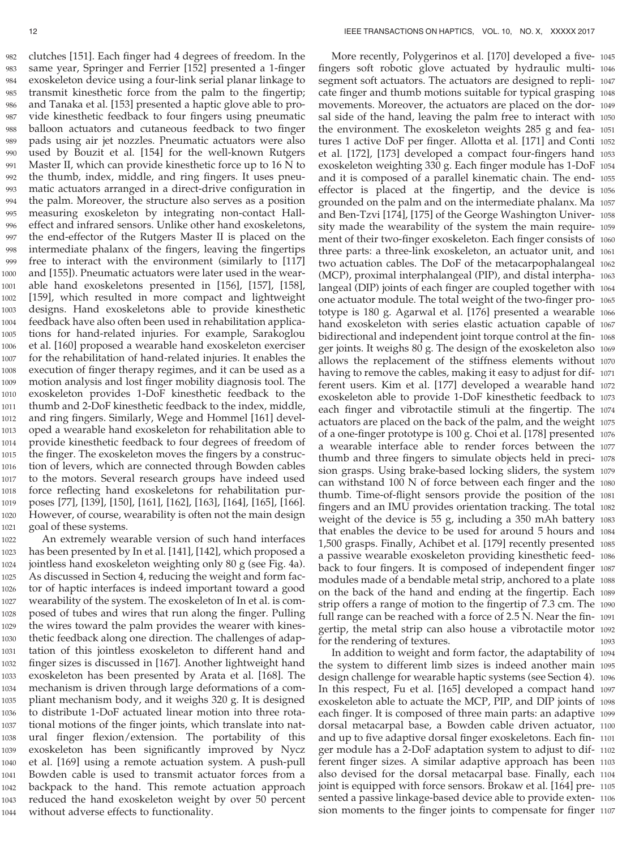clutches [151]. Each finger had 4 degrees of freedom. In the same year, Springer and Ferrier [152] presented a 1-finger exoskeleton device using a four-link serial planar linkage to transmit kinesthetic force from the palm to the fingertip; and Tanaka et al. [153] presented a haptic glove able to pro- vide kinesthetic feedback to four fingers using pneumatic balloon actuators and cutaneous feedback to two finger pads using air jet nozzles. Pneumatic actuators were also used by Bouzit et al. [154] for the well-known Rutgers Master II, which can provide kinesthetic force up to 16 N to the thumb, index, middle, and ring fingers. It uses pneu- matic actuators arranged in a direct-drive configuration in the palm. Moreover, the structure also serves as a position measuring exoskeleton by integrating non-contact Hall- effect and infrared sensors. Unlike other hand exoskeletons, the end-effector of the Rutgers Master II is placed on the intermediate phalanx of the fingers, leaving the fingertips free to interact with the environment (similarly to [117] and [155]). Pneumatic actuators were later used in the wear- able hand exoskeletons presented in [156], [157], [158], [159], which resulted in more compact and lightweight designs. Hand exoskeletons able to provide kinesthetic feedback have also often been used in rehabilitation applica- tions for hand-related injuries. For example, Sarakoglou et al. [160] proposed a wearable hand exoskeleton exerciser for the rehabilitation of hand-related injuries. It enables the execution of finger therapy regimes, and it can be used as a motion analysis and lost finger mobility diagnosis tool. The exoskeleton provides 1-DoF kinesthetic feedback to the thumb and 2-DoF kinesthetic feedback to the index, middle, and ring fingers. Similarly, Wege and Hommel [161] devel- oped a wearable hand exoskeleton for rehabilitation able to provide kinesthetic feedback to four degrees of freedom of the finger. The exoskeleton moves the fingers by a construc- tion of levers, which are connected through Bowden cables to the motors. Several research groups have indeed used force reflecting hand exoskeletons for rehabilitation pur- poses [77], [139], [150], [161], [162], [163], [164], [165], [166]. However, of course, wearability is often not the main design goal of these systems.

 An extremely wearable version of such hand interfaces has been presented by In et al. [141], [142], which proposed a jointless hand exoskeleton weighting only 80 g (see Fig. 4a). As discussed in Section 4, reducing the weight and form fac- tor of haptic interfaces is indeed important toward a good wearability of the system. The exoskeleton of In et al. is com- posed of tubes and wires that run along the finger. Pulling the wires toward the palm provides the wearer with kines- thetic feedback along one direction. The challenges of adap- tation of this jointless exoskeleton to different hand and finger sizes is discussed in [167]. Another lightweight hand exoskeleton has been presented by Arata et al. [168]. The mechanism is driven through large deformations of a com- pliant mechanism body, and it weighs 320 g. It is designed to distribute 1-DoF actuated linear motion into three rota- tional motions of the finger joints, which translate into nat- ural finger flexion/extension. The portability of this exoskeleton has been significantly improved by Nycz et al. [169] using a remote actuation system. A push-pull Bowden cable is used to transmit actuator forces from a backpack to the hand. This remote actuation approach reduced the hand exoskeleton weight by over 50 percent without adverse effects to functionality.

More recently, Polygerinos et al. [170] developed a five- 1045 fingers soft robotic glove actuated by hydraulic multi- 1046 segment soft actuators. The actuators are designed to repli- 1047 cate finger and thumb motions suitable for typical grasping 1048 movements. Moreover, the actuators are placed on the dor- 1049 sal side of the hand, leaving the palm free to interact with 1050 the environment. The exoskeleton weights 285 g and fea- 1051 tures 1 active DoF per finger. Allotta et al. [171] and Conti 1052 et al. [172], [173] developed a compact four-fingers hand 1053 exoskeleton weighting 330 g. Each finger module has 1-DoF 1054 and it is composed of a parallel kinematic chain. The end- 1055 effector is placed at the fingertip, and the device is 1056 grounded on the palm and on the intermediate phalanx. Ma 1057 and Ben-Tzvi [174], [175] of the George Washington Univer- 1058 sity made the wearability of the system the main require- 1059 ment of their two-finger exoskeleton. Each finger consists of 1060 three parts: a three-link exoskeleton, an actuator unit, and 1061 two actuation cables. The DoF of the metacarpophalangeal 1062 (MCP), proximal interphalangeal (PIP), and distal interpha- 1063 langeal (DIP) joints of each finger are coupled together with 1064 one actuator module. The total weight of the two-finger pro- 1065 totype is 180 g. Agarwal et al. [176] presented a wearable 1066 hand exoskeleton with series elastic actuation capable of 1067 bidirectional and independent joint torque control at the fin- 1068 ger joints. It weighs 80 g. The design of the exoskeleton also 1069 allows the replacement of the stiffness elements without 1070 having to remove the cables, making it easy to adjust for dif- 1071 ferent users. Kim et al. [177] developed a wearable hand 1072 exoskeleton able to provide 1-DoF kinesthetic feedback to 1073 each finger and vibrotactile stimuli at the fingertip. The 1074 actuators are placed on the back of the palm, and the weight 1075 of a one-finger prototype is 100 g. Choi et al. [178] presented 1076 a wearable interface able to render forces between the 1077 thumb and three fingers to simulate objects held in preci- 1078 sion grasps. Using brake-based locking sliders, the system 1079 can withstand 100 N of force between each finger and the 1080 thumb. Time-of-flight sensors provide the position of the 1081 fingers and an IMU provides orientation tracking. The total 1082 weight of the device is 55 g, including a 350 mAh battery 1083 that enables the device to be used for around 5 hours and 1084 1,500 grasps. Finally, Achibet et al. [179] recently presented 1085 a passive wearable exoskeleton providing kinesthetic feed- 1086 back to four fingers. It is composed of independent finger 1087 modules made of a bendable metal strip, anchored to a plate 1088 on the back of the hand and ending at the fingertip. Each 1089 strip offers a range of motion to the fingertip of 7.3 cm. The 1090 full range can be reached with a force of 2.5 N. Near the fin- 1091 gertip, the metal strip can also house a vibrotactile motor 1092 for the rendering of textures.

In addition to weight and form factor, the adaptability of 1094 the system to different limb sizes is indeed another main 1095 design challenge for wearable haptic systems (see Section 4). 1096 In this respect, Fu et al. [165] developed a compact hand 1097 exoskeleton able to actuate the MCP, PIP, and DIP joints of 1098 each finger. It is composed of three main parts: an adaptive 1099 dorsal metacarpal base, a Bowden cable driven actuator, 1100 and up to five adaptive dorsal finger exoskeletons. Each fin- 1101 ger module has a 2-DoF adaptation system to adjust to dif- 1102 ferent finger sizes. A similar adaptive approach has been 1103 also devised for the dorsal metacarpal base. Finally, each 1104 joint is equipped with force sensors. Brokaw et al. [164] pre- 1105 sented a passive linkage-based device able to provide exten- 1106 sion moments to the finger joints to compensate for finger 1107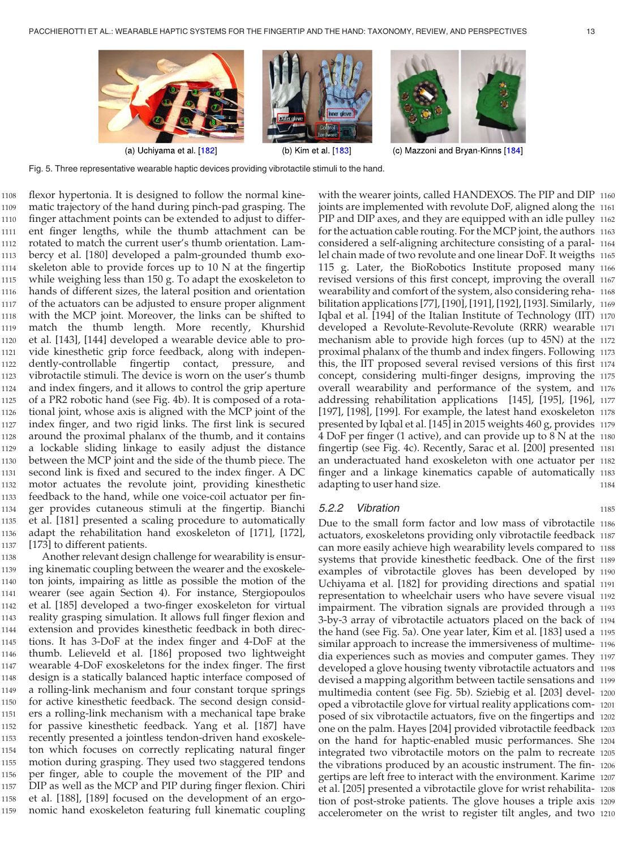

Fig. 5. Three representative wearable haptic devices providing vibrotactile stimuli to the hand.

 flexor hypertonia. It is designed to follow the normal kine- matic trajectory of the hand during pinch-pad grasping. The finger attachment points can be extended to adjust to differ- ent finger lengths, while the thumb attachment can be rotated to match the current user's thumb orientation. Lam- bercy et al. [180] developed a palm-grounded thumb exo- skeleton able to provide forces up to 10 N at the fingertip while weighing less than 150 g. To adapt the exoskeleton to hands of different sizes, the lateral position and orientation of the actuators can be adjusted to ensure proper alignment with the MCP joint. Moreover, the links can be shifted to match the thumb length. More recently, Khurshid et al. [143], [144] developed a wearable device able to pro- vide kinesthetic grip force feedback, along with indepen- dently-controllable fingertip contact, pressure, and vibrotactile stimuli. The device is worn on the user's thumb and index fingers, and it allows to control the grip aperture of a PR2 robotic hand (see Fig. 4b). It is composed of a rota- tional joint, whose axis is aligned with the MCP joint of the index finger, and two rigid links. The first link is secured around the proximal phalanx of the thumb, and it contains a lockable sliding linkage to easily adjust the distance between the MCP joint and the side of the thumb piece. The second link is fixed and secured to the index finger. A DC motor actuates the revolute joint, providing kinesthetic feedback to the hand, while one voice-coil actuator per fin- ger provides cutaneous stimuli at the fingertip. Bianchi et al. [181] presented a scaling procedure to automatically adapt the rehabilitation hand exoskeleton of [171], [172], [173] to different patients.

 Another relevant design challenge for wearability is ensur- ing kinematic coupling between the wearer and the exoskele- ton joints, impairing as little as possible the motion of the wearer (see again Section 4). For instance, Stergiopoulos et al. [185] developed a two-finger exoskeleton for virtual reality grasping simulation. It allows full finger flexion and extension and provides kinesthetic feedback in both direc- tions. It has 3-DoF at the index finger and 4-DoF at the thumb. Lelieveld et al. [186] proposed two lightweight wearable 4-DoF exoskeletons for the index finger. The first design is a statically balanced haptic interface composed of a rolling-link mechanism and four constant torque springs for active kinesthetic feedback. The second design consid- ers a rolling-link mechanism with a mechanical tape brake for passive kinesthetic feedback. Yang et al. [187] have recently presented a jointless tendon-driven hand exoskele- ton which focuses on correctly replicating natural finger motion during grasping. They used two staggered tendons per finger, able to couple the movement of the PIP and DIP as well as the MCP and PIP during finger flexion. Chiri et al. [188], [189] focused on the development of an ergo-nomic hand exoskeleton featuring full kinematic coupling

with the wearer joints, called HANDEXOS. The PIP and DIP 1160 joints are implemented with revolute DoF, aligned along the 1161 PIP and DIP axes, and they are equipped with an idle pulley 1162 for the actuation cable routing. For the MCP joint, the authors 1163 considered a self-aligning architecture consisting of a paral- 1164 lel chain made of two revolute and one linear DoF. It weigths 1165 115 g. Later, the BioRobotics Institute proposed many 1166 revised versions of this first concept, improving the overall 1167 wearability and comfort of the system, also considering reha- 1168 bilitation applications [77], [190], [191], [192], [193]. Similarly, 1169 Iqbal et al. [194] of the Italian Institute of Technology (IIT) 1170 developed a Revolute-Revolute-Revolute (RRR) wearable 1171 mechanism able to provide high forces (up to 45N) at the 1172 proximal phalanx of the thumb and index fingers. Following 1173 this, the IIT proposed several revised versions of this first 1174 concept, considering multi-finger designs, improving the 1175 overall wearability and performance of the system, and 1176 addressing rehabilitation applications [145], [195], [196], 1177 [197], [198], [199]. For example, the latest hand exoskeleton 1178 presented by Iqbal et al. [145] in 2015 weights 460 g, provides 1179 4 DoF per finger (1 active), and can provide up to 8 N at the 1180 fingertip (see Fig. 4c). Recently, Sarac et al. [200] presented 1181 an underactuated hand exoskeleton with one actuator per 1182 finger and a linkage kinematics capable of automatically 1183 adapting to user hand size. The same state of  $1184$ 

#### **5.2.2 Vibration** 1185

Due to the small form factor and low mass of vibrotactile 1186 actuators, exoskeletons providing only vibrotactile feedback 1187 can more easily achieve high wearability levels compared to 1188 systems that provide kinesthetic feedback. One of the first 1189 examples of vibrotactile gloves has been developed by 1190 Uchiyama et al. [182] for providing directions and spatial 1191 representation to wheelchair users who have severe visual 1192 impairment. The vibration signals are provided through a 1193 3-by-3 array of vibrotactile actuators placed on the back of 1194 the hand (see Fig. 5a). One year later, Kim et al. [183] used a 1195 similar approach to increase the immersiveness of multime- 1196 dia experiences such as movies and computer games. They 1197 developed a glove housing twenty vibrotactile actuators and 1198 devised a mapping algorithm between tactile sensations and 1199 multimedia content (see Fig. 5b). Sziebig et al. [203] devel- 1200 oped a vibrotactile glove for virtual reality applications com- 1201 posed of six vibrotactile actuators, five on the fingertips and 1202 one on the palm. Hayes [204] provided vibrotactile feedback 1203 on the hand for haptic-enabled music performances. She 1204 integrated two vibrotactile motors on the palm to recreate 1205 the vibrations produced by an acoustic instrument. The fin- 1206 gertips are left free to interact with the environment. Karime 1207 et al. [205] presented a vibrotactile glove for wrist rehabilita- 1208 tion of post-stroke patients. The glove houses a triple axis 1209 accelerometer on the wrist to register tilt angles, and two 1210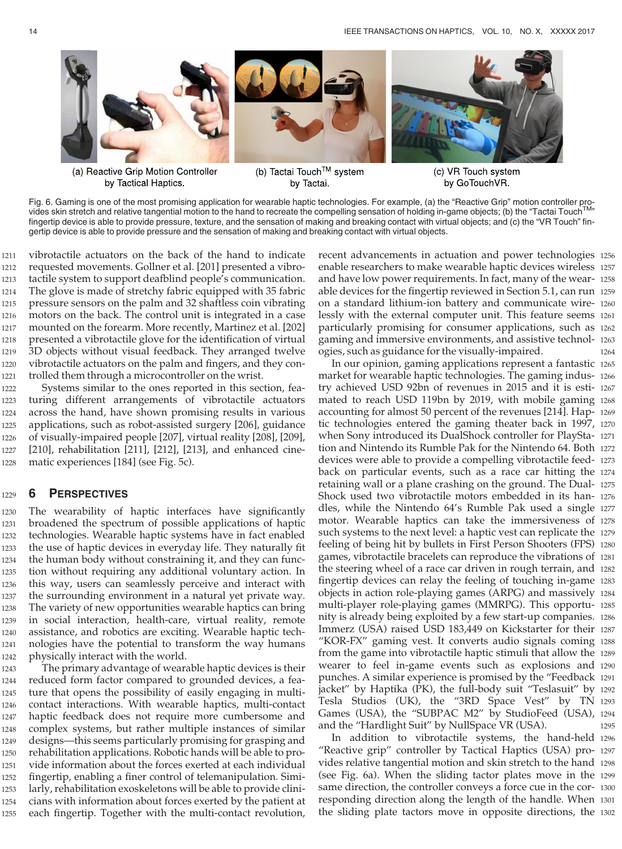(a) Reactive Grip Motion Controller by Tactical Haptics.

(b) Tactai Touch™ system by Tactai.

(c) VR Touch system by GoTouchVR.

Fig. 6. Gaming is one of the most promising application for wearable haptic technologies. For example, (a) the "Reactive Grip" motion controller provides skin stretch and relative tangential motion to the hand to recreate the compelling sensation of holding in-game objects; (b) the "Tactai TouchTM" fingertip device is able to provide pressure, texture, and the sensation of making and breaking contact with virtual objects; and (c) the "VR Touch" fingertip device is able to provide pressure and the sensation of making and breaking contact with virtual objects.

 vibrotactile actuators on the back of the hand to indicate requested movements. Gollner et al. [201] presented a vibro- tactile system to support deafblind people's communication. The glove is made of stretchy fabric equipped with 35 fabric pressure sensors on the palm and 32 shaftless coin vibrating motors on the back. The control unit is integrated in a case mounted on the forearm. More recently, Martinez et al. [202] presented a vibrotactile glove for the identification of virtual 3D objects without visual feedback. They arranged twelve vibrotactile actuators on the palm and fingers, and they con-trolled them through a microcontroller on the wrist.

 Systems similar to the ones reported in this section, fea- turing different arrangements of vibrotactile actuators across the hand, have shown promising results in various applications, such as robot-assisted surgery [206], guidance of visually-impaired people [207], virtual reality [208], [209], [210], rehabilitation [211], [212], [213], and enhanced cine-matic experiences [184] (see Fig. 5c).

# 1229 **6 PERSPECTIVES**

 The wearability of haptic interfaces have significantly broadened the spectrum of possible applications of haptic technologies. Wearable haptic systems have in fact enabled the use of haptic devices in everyday life. They naturally fit the human body without constraining it, and they can func- tion without requiring any additional voluntary action. In this way, users can seamlessly perceive and interact with the surrounding environment in a natural yet private way. The variety of new opportunities wearable haptics can bring in social interaction, health-care, virtual reality, remote assistance, and robotics are exciting. Wearable haptic tech- nologies have the potential to transform the way humans physically interact with the world.

 The primary advantage of wearable haptic devices is their reduced form factor compared to grounded devices, a fea- ture that opens the possibility of easily engaging in multi- contact interactions. With wearable haptics, multi-contact haptic feedback does not require more cumbersome and complex systems, but rather multiple instances of similar designs—this seems particularly promising for grasping and rehabilitation applications. Robotic hands will be able to pro- vide information about the forces exerted at each individual fingertip, enabling a finer control of telemanipulation. Simi- larly, rehabilitation exoskeletons will be able to provide clini- cians with information about forces exerted by the patient at each fingertip. Together with the multi-contact revolution,

recent advancements in actuation and power technologies 1256 enable researchers to make wearable haptic devices wireless 1257 and have low power requirements. In fact, many of the wear- 1258 able devices for the fingertip reviewed in Section 5.1, can run 1259 on a standard lithium-ion battery and communicate wire- 1260 lessly with the external computer unit. This feature seems 1261 particularly promising for consumer applications, such as 1262 gaming and immersive environments, and assistive technol- 1263 ogies, such as guidance for the visually-impaired. 1264

In our opinion, gaming applications represent a fantastic 1265 market for wearable haptic technologies. The gaming indus- 1266 try achieved USD 92bn of revenues in 2015 and it is esti- 1267 mated to reach USD 119bn by 2019, with mobile gaming 1268 accounting for almost 50 percent of the revenues [214]. Hap- 1269 tic technologies entered the gaming theater back in 1997, 1270 when Sony introduced its DualShock controller for PlaySta- 1271 tion and Nintendo its Rumble Pak for the Nintendo 64. Both 1272 devices were able to provide a compelling vibrotactile feed- 1273 back on particular events, such as a race car hitting the 1274 retaining wall or a plane crashing on the ground. The Dual- 1275 Shock used two vibrotactile motors embedded in its han- 1276 dles, while the Nintendo 64's Rumble Pak used a single 1277 motor. Wearable haptics can take the immersiveness of 1278 such systems to the next level: a haptic vest can replicate the 1279 feeling of being hit by bullets in First Person Shooters (FPS) 1280 games, vibrotactile bracelets can reproduce the vibrations of 1281 the steering wheel of a race car driven in rough terrain, and 1282 fingertip devices can relay the feeling of touching in-game 1283 objects in action role-playing games (ARPG) and massively 1284 multi-player role-playing games (MMRPG). This opportu- 1285 nity is already being exploited by a few start-up companies. 1286 Immerz (USA) raised USD 183,449 on Kickstarter for their 1287 "KOR-FX" gaming vest. It converts audio signals coming 1288 from the game into vibrotactile haptic stimuli that allow the 1289 wearer to feel in-game events such as explosions and 1290 punches. A similar experience is promised by the "Feedback 1291 jacket" by Haptika (PK), the full-body suit "Teslasuit" by 1292 Tesla Studios (UK), the "3RD Space Vest" by TN 1293 Games (USA), the "SUBPAC M2" by StudioFeed (USA), 1294 and the "Hardlight Suit" by NullSpace VR (USA). 1295

In addition to vibrotactile systems, the hand-held 1296 "Reactive grip" controller by Tactical Haptics (USA) pro- 1297 vides relative tangential motion and skin stretch to the hand 1298 (see Fig. 6a). When the sliding tactor plates move in the 1299 same direction, the controller conveys a force cue in the cor- 1300 responding direction along the length of the handle. When 1301 the sliding plate tactors move in opposite directions, the 1302

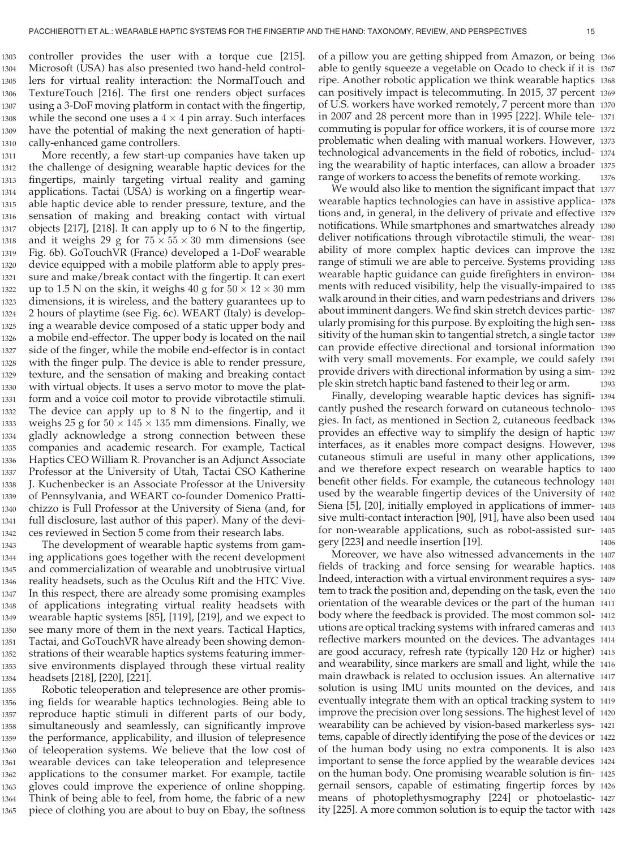controller provides the user with a torque cue [215]. Microsoft (USA) has also presented two hand-held control- lers for virtual reality interaction: the NormalTouch and TextureTouch [216]. The first one renders object surfaces using a 3-DoF moving platform in contact with the fingertip, 1308 while the second one uses a  $4 \times 4$  pin array. Such interfaces have the potential of making the next generation of haptihave the potential of making the next generation of hapti-cally-enhanced game controllers.

 More recently, a few start-up companies have taken up the challenge of designing wearable haptic devices for the fingertips, mainly targeting virtual reality and gaming applications. Tactai (USA) is working on a fingertip wear- able haptic device able to render pressure, texture, and the sensation of making and breaking contact with virtual 1317 objects [217], [218]. It can apply up to  $6 \text{ N}$  to the fingertip, 1318 and it weighs 29 g for  $75 \times 55 \times 30$  mm dimensions (see<br>1319 Fig. 6b). GoTouchVR (France) developed a 1-DoF wearable Fig. 6b). GoTouchVR (France) developed a 1-DoF wearable device equipped with a mobile platform able to apply pres- sure and make/break contact with the fingertip. It can exert 1322 up to 1.5 N on the skin, it weighs 40 g for  $50 \times 12 \times 30$  mm<br>1323 dimensions, it is wireless, and the battery guarantees up to dimensions, it is wireless, and the battery guarantees up to 2 hours of playtime (see Fig. 6c). WEART (Italy) is develop- ing a wearable device composed of a static upper body and a mobile end-effector. The upper body is located on the nail side of the finger, while the mobile end-effector is in contact with the finger pulp. The device is able to render pressure, texture, and the sensation of making and breaking contact with virtual objects. It uses a servo motor to move the plat- form and a voice coil motor to provide vibrotactile stimuli. The device can apply up to 8 N to the fingertip, and it 1333 weighs 25 g for  $50 \times 145 \times 135$  mm dimensions. Finally, we readly acknowledge a strong connection between these gladly acknowledge a strong connection between these companies and academic research. For example, Tactical Haptics CEO William R. Provancher is an Adjunct Associate Professor at the University of Utah, Tactai CSO Katherine J. Kuchenbecker is an Associate Professor at the University of Pennsylvania, and WEART co-founder Domenico Pratti- chizzo is Full Professor at the University of Siena (and, for full disclosure, last author of this paper). Many of the devi-ces reviewed in Section 5 come from their research labs.

 The development of wearable haptic systems from gam- ing applications goes together with the recent development and commercialization of wearable and unobtrusive virtual reality headsets, such as the Oculus Rift and the HTC Vive. In this respect, there are already some promising examples of applications integrating virtual reality headsets with wearable haptic systems [85], [119], [219], and we expect to see many more of them in the next years. Tactical Haptics, Tactai, and GoTouchVR have already been showing demon- strations of their wearable haptics systems featuring immer- sive environments displayed through these virtual reality headsets [218], [220], [221].

 Robotic teleoperation and telepresence are other promis- ing fields for wearable haptics technologies. Being able to reproduce haptic stimuli in different parts of our body, simultaneously and seamlessly, can significantly improve the performance, applicability, and illusion of telepresence of teleoperation systems. We believe that the low cost of wearable devices can take teleoperation and telepresence applications to the consumer market. For example, tactile gloves could improve the experience of online shopping. Think of being able to feel, from home, the fabric of a new piece of clothing you are about to buy on Ebay, the softness

of a pillow you are getting shipped from Amazon, or being 1366 able to gently squeeze a vegetable on Ocado to check if it is 1367 ripe. Another robotic application we think wearable haptics 1368 can positively impact is telecommuting. In 2015, 37 percent 1369 of U.S. workers have worked remotely, 7 percent more than 1370 in 2007 and 28 percent more than in 1995 [222]. While tele- 1371 commuting is popular for office workers, it is of course more 1372 problematic when dealing with manual workers. However, 1373 technological advancements in the field of robotics, includ- 1374 ing the wearability of haptic interfaces, can allow a broader 1375 range of workers to access the benefits of remote working. 1376

We would also like to mention the significant impact that 1377 wearable haptics technologies can have in assistive applica- 1378 tions and, in general, in the delivery of private and effective 1379 notifications. While smartphones and smartwatches already 1380 deliver notifications through vibrotactile stimuli, the wear- 1381 ability of more complex haptic devices can improve the 1382 range of stimuli we are able to perceive. Systems providing 1383 wearable haptic guidance can guide firefighters in environ- 1384 ments with reduced visibility, help the visually-impaired to 1385 walk around in their cities, and warn pedestrians and drivers 1386 about imminent dangers. We find skin stretch devices partic- 1387 ularly promising for this purpose. By exploiting the high sen- 1388 sitivity of the human skin to tangential stretch, a single tactor 1389 can provide effective directional and torsional information 1390 with very small movements. For example, we could safely 1391 provide drivers with directional information by using a sim- 1392 ple skin stretch haptic band fastened to their leg or arm. 1393

Finally, developing wearable haptic devices has signifi- 1394 cantly pushed the research forward on cutaneous technolo- 1395 gies. In fact, as mentioned in Section 2, cutaneous feedback 1396 provides an effective way to simplify the design of haptic 1397 interfaces, as it enables more compact designs. However, 1398 cutaneous stimuli are useful in many other applications, 1399 and we therefore expect research on wearable haptics to 1400 benefit other fields. For example, the cutaneous technology 1401 used by the wearable fingertip devices of the University of 1402 Siena [5], [20], initially employed in applications of immer- 1403 sive multi-contact interaction [90], [91], have also been used 1404 for non-wearable applications, such as robot-assisted sur- 1405 gery [223] and needle insertion [19]. 1406

Moreover, we have also witnessed advancements in the 1407 fields of tracking and force sensing for wearable haptics. 1408 Indeed, interaction with a virtual environment requires a sys- 1409 tem to track the position and, depending on the task, even the 1410 orientation of the wearable devices or the part of the human 1411 body where the feedback is provided. The most common sol- 1412 utions are optical tracking systems with infrared cameras and 1413 reflective markers mounted on the devices. The advantages 1414 are good accuracy, refresh rate (typically 120 Hz or higher) 1415 and wearability, since markers are small and light, while the 1416 main drawback is related to occlusion issues. An alternative 1417 solution is using IMU units mounted on the devices, and 1418 eventually integrate them with an optical tracking system to 1419 improve the precision over long sessions. The highest level of 1420 wearability can be achieved by vision-based markerless sys- 1421 tems, capable of directly identifying the pose of the devices or 1422 of the human body using no extra components. It is also 1423 important to sense the force applied by the wearable devices 1424 on the human body. One promising wearable solution is fin- 1425 gernail sensors, capable of estimating fingertip forces by 1426 means of photoplethysmography [224] or photoelastic- 1427 ity [225]. A more common solution is to equip the tactor with 1428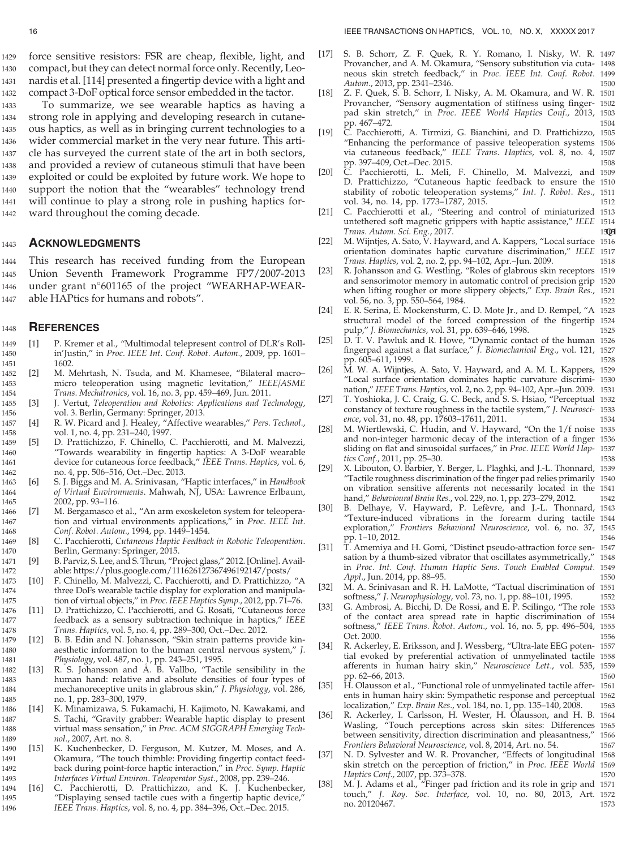force sensitive resistors: FSR are cheap, flexible, light, and compact, but they can detect normal force only. Recently, Leo- nardis et al. [114] presented a fingertip device with a light and compact 3-DoF optical force sensor embedded in the tactor.

 To summarize, we see wearable haptics as having a strong role in applying and developing research in cutane- ous haptics, as well as in bringing current technologies to a wider commercial market in the very near future. This arti- cle has surveyed the current state of the art in both sectors, and provided a review of cutaneous stimuli that have been exploited or could be exploited by future work. We hope to support the notion that the "wearables" technology trend will continue to play a strong role in pushing haptics for-ward throughout the coming decade.

# 1443 ACKNOWLEDGMENTS

 This research has received funding from the European Union Seventh Framework Programme FP7/2007-2013 1446 under grant n°601165 of the project "WEARHAP-WEAR-able HAPtics for humans and robots".

#### <sup>1448</sup> REFERENCES

- 1449 [1] P. Kremer et al., "Multimodal telepresent control of DLR's Roll-<br>1450 in'Iustin." in *Proc. IEEE Int. Cont. Robot. Autom.*, 2009, pp. 1601– in'Justin," in Proc. IEEE Int. Conf. Robot. Autom., 2009, pp. 1601– 1451 1602<br>1452 [2] M. M
- M. Mehrtash, N. Tsuda, and M. Khamesee, "Bilateral macro-1453 micro teleoperation using magnetic levitation," IEEE/ASME<br>1454 Trans. Mechatronics. vol. 16. no. 3. pp. 459–469. Jun. 2011. Trans. Mechatronics, vol. 16, no. 3, pp. 459-469, Jun. 2011.
- 1455 [3] J. Vertut, Teleoperation and Robotics: Applications and Technology,<br>1456 vol. 3. Berlin, Germany: Springer, 2013. vol. 3. Berlin, Germany: Springer, 2013.
- 1457 [4] R. W. Picard and J. Healey, "Affective wearables," Pers. Technol., vol. 1, no. 4, pp. 231–240, 1997. vol. 1, no. 4, pp. 231–240, 1997.
- 1459 [5] D. Prattichizzo, F. Chinello, C. Pacchierotti, and M. Malvezzi, "Towards wearability in fingertip haptics: A 3-DoF wearable 1461 device for cutaneous force feedback," IEEE Trans. Haptics, vol. 6,<br>1462 no. 4. pp. 506–516. Oct.–Dec. 2013. no. 4, pp. 506–516, Oct.–Dec. 2013.
- 1463 [6] S. J. Biggs and M. A. Srinivasan, "Haptic interfaces," in *Handbook* of Virtual Environments. Mahwah, NJ, USA: Lawrence Erlbaum, of Virtual Environments. Mahwah, NJ, USA: Lawrence Erlbaum, 1465 2002, pp. 93–116.<br>1466 [7] M. Bergamasco e
- 1466 [7] M. Bergamasco et al., "An arm exoskeleton system for teleopera-1467 tion and virtual environments applications," in *Proc. IEEE Int.*<br>1468 *Conf. Robot. Autom.,* 1994, pp. 1449–1454. Conf. Robot. Autom., 1994, pp. 1449–1454.<br>
[8] C. Pacchierotti, Cutaneous Haptic Feedbac
- 1469 [8] C. Pacchierotti, Cutaneous Haptic Feedback in Robotic Teleoperation.<br>1470 Berlin, Germany: Springer, 2015. 1470 Berlin, Germany: Springer, 2015<br>1471 [9] B. Parviz, S. Lee, and S. Thrun, "P.
- 1471 [9] B. Parviz, S. Lee, and S. Thrun, "Project glass," 2012. [Online]. Avail-1472 able:<https://plus.google.com/111626127367496192147/posts/>
- 1473 [10] F. Chinello, M. Malvezzi, C. Pacchierotti, and D. Prattichizzo, "A 1474 three DoFs wearable tactile display for exploration and manipula-<br>1475 tion of virtual objects." in Proc. IEEE Hantics Sumn. 2012. pp. 71–76. 1475 tion of virtual objects," in Proc. IEEE Haptics Symp., 2012, pp. 71–76.<br>1476 [11] D. Prattichizzo, C. Pacchierotti, and G. Rosati, "Cutaneous force
- [11] D. Prattichizzo, C. Pacchierotti, and G. Rosati, "Cutaneous force 1477 feedback as a sensory subtraction technique in haptics," IEEE 1478 Trans. Haptics, vol. 5, no. 4, pp. 289–300, Oct.–Dec. 2012.
- 1479 [12] B. B. Edin and N. Johansson, "Skin strain patterns provide kin-<br>1480 easthetic information to the human central nervous system," J. aesthetic information to the human central nervous system," J. 1481 *Physiology, vol.* 487, no. 1, pp. 243–251, 1995.<br>1482 [13] R. S. Johansson and Å. B. Vallbo, "Tact
- <sup>1482</sup> [13] R. S. Johansson and A . B. Vallbo, "Tactile sensibility in the 1483 human hand: relative and absolute densities of four types of mechanoreceptive units in glabrous skin," *J. Physiology*, vol. 286, 1484 mechanoreceptive units in glabrous skin," J. Physiology, vol. 286,<br>1485 1485 1.0 (1. pp. 283–300, 1979). 1485 no. 1, pp. 283–300, 1979.
- 1486 [14] K. Minamizawa, S. Fukamachi, H. Kajimoto, N. Kawakami, and 1487 S. Tachi, "Gravity grabber: Wearable haptic display to present 1488 virtual mass sensation," in *Proc. ACM SIGGRAPH Emerging Tech*virtual mass sensation," in Proc. ACM SIGGRAPH Emerging Tech-1489 nol., 2007, Art. no. 8.
- 1490 [15] K. Kuchenbecker, D. Ferguson, M. Kutzer, M. Moses, and A. 1491 Okamura, "The touch thimble: Providing fingertip contact feed-1492 back during point-force haptic interaction," in Proc. Symp. Haptic 1493 Interfaces Virtual Environ. Teleoperator Syst., 2008, pp. 239–246.
- 1494 [16] C. Pacchierotti, D. Prattichizzo, and K. J. Kuchenbecker, 1495 "Displaying sensed tactile cues with a fingertip haptic device," 1496 IEEE Trans. Haptics, vol. 8, no. 4, pp. 384–396, Oct.–Dec. 2015.
- [17] S. B. Schorr, Z. F. Quek, R. Y. Romano, I. Nisky, W. R. 1497 Provancher, and A. M. Okamura, "Sensory substitution via cuta- 1498 neous skin stretch feedback," in Proc. IEEE Int. Conf. Robot. 1499 Autom., 2013, pp. 2341–2346. 1500
- [18] Z. F. Quek, S. B. Schorr, I. Nisky, A. M. Okamura, and W. R. 1501 Provancher, "Sensory augmentation of stiffness using finger- 1502 pad skin stretch," in Proc. IEEE World Haptics Conf., 2013, 1503 pp. 467–472.<br>1504 C. Pacchierotti, A. Tirmizi, G. Bianchini, and D. Prattichizzo, 1504
- [19] C. Pacchierotti, A. Tirmizi, G. Bianchini, and D. Prattichizzo, 1505 "Enhancing the performance of passive teleoperation systems 1506<br>via cutaneous feedback." IEEE Trans, Hantics, vol. 8, no. 4, 1507 via cutaneous feedback," IEEE Trans. Haptics, vol. 8, no. 4, 1507<br>np 397–409 Oct -Dec 2015 pp. 397–409, Oct.–Dec. 2015.<br>C. Pacchierotti, J., Meli, F. Chinello, M. Malvezzi, and 1509
- [20] C. Pacchierotti, L. Meli, F. Chinello, M. Malvezzi, and 1509 D. Prattichizzo, "Cutaneous haptic feedback to ensure the 1510 stability of robotic teleoperation systems." Int. I. Robot. Res., 1511 stability of robotic teleoperation systems," Int. J. Robot. Res., 1511<br>vol. 34 no. 14 nn 1773–1787 2015 vol. 34, no. 14, pp. 1773–1787, 2015.<br>C. Pacchierotti et al., "Steering and control of miniaturized 1513
- [21] C. Pacchierotti et al., "Steering and control of miniaturized 1513<br>unterhered soft magnetic grinners with haptic assistance" IEEE 1514 untethered soft magnetic grippers with haptic assistance," IEEE 1514<br>Trans. Autom. Sci. Eng., 2017. Trans. Autom. Sci. Eng., 2017. 1515 Q1
- [22] M. Wijntjes, A. Sato,  $\check{V}$ . Hayward, and A. Kappers, "Local surface 1516 orientation dominates haptic curvature discrimination." IEEE 1517 orientation dominates haptic curvature discrimination," IEEE Trans. Haptics, vol. 2, no. 2, pp. 94–102, Apr.–Jun. 2009. 1518
- [23] R. Johansson and G. Westling, "Roles of glabrous skin receptors and sensorimotor memory in automatic control of precision grip 1520 when lifting rougher or more slippery objects," Exp. Brain Res., 1521 vol. 56, no. 3, pp. 550–564, 1984. 1522
- [24] E. R. Serina, E. Mockensturm, C. D. Mote Jr., and D. Rempel, "A 1523 structural model of the forced compression of the fingertip 1524 pulp," J. Biomechanics, vol. 31, pp. 639-646, 1998. 1525
- [25] D. T. V. Pawluk and R. Howe, "Dynamic contact of the human 1526 fingerpad against a flat surface," J. Biomechanical Eng., vol. 121, 1527 pp. 605–611, 1999. 1528
- [26] M. W. A. Wijntjes, A. Sato, V. Hayward, and A. M. L. Kappers, 1529 "Local surface orientation dominates haptic curvature discrimi- 1530 nation," IEEE Trans. Haptics, vol. 2, no. 2, pp. 94–102, Apr.–Jun. 2009. 1531
- [27] T. Yoshioka, J. C. Craig, G. C. Beck, and S. S. Hsiao, "Perceptual 1532 constancy of texture roughness in the tactile system," J. Neuroscience, vol. 31, no. 48, pp. 17603–17611, 2011. 1534
- [28] M. Wiertlewski, C. Hudin, and V. Hayward, "On the 1/f noise 1535 and non-integer harmonic decay of the interaction of a finger 1536 sliding on flat and sinusoidal surfaces," in Proc. IEEE World Hap- 1537 tics Conf., 2011, pp. 25–30. 1538
- [29] X. Libouton, O. Barbier, Y. Berger, L. Plaghki, and J.-L. Thonnard, 1539 "Tactile roughness discrimination of the finger pad relies primarily 1540 on vibration sensitive afferents not necessarily located in the 1541 hand," Behavioural Brain Res., vol. 229, no. 1, pp. 273–279, 2012. 1542
- [30] B. Delhaye, V. Hayward, P. Lefevre, and J.-L. Thonnard, 1543 "Texture-induced vibrations in the forearm during tactile 1544 exploration," Frontiers Behavioral Neuroscience, vol. 6, no. 37, 1545 pp. 1–10, 2012. 1546
- [31] T. Amemiya and H. Gomi, "Distinct pseudo-attraction force sen- 1547 sation by a thumb-sized vibrator that oscillates asymmetrically," 1548 in Proc. Int. Conf. Human Haptic Sens. Touch Enabled Comput. 1549 Appl., Jun. 2014, pp. 88-95.
- [32] M. A. Srinivasan and R. H. LaMotte, "Tactual discrimination of 1551 softness," J. Neurophysiology, vol. 73, no. 1, pp. 88-101, 1995. 1552
- [33] G. Ambrosi, A. Bicchi, D. De Rossi, and E. P. Scilingo, "The role 1553 of the contact area spread rate in haptic discrimination of 1554 softness," IEEE Trans. Robot. Autom., vol. 16, no. 5, pp. 496–504, 1555 Oct. 2000. 1556
- [34] R. Ackerley, E. Eriksson, and J. Wessberg, "Ultra-late EEG poten- 1557 tial evoked by preferential activation of unmyelinated tactile 1558 afferents in human hairy skin," Neuroscience Lett., vol. 535, 1559 pp. 62–66, 2013. 1560
- [35] H. Olausson et al., "Functional role of unmyelinated tactile affer- 1561 ents in human hairy skin: Sympathetic response and perceptual 1562 localization," Exp. Brain Res., vol. 184, no. 1, pp. 135–140, 2008. 1563
- [36] R. Ackerley, I. Carlsson, H. Wester, H. Olausson, and H. B. 1564 Wasling, "Touch perceptions across skin sites: Differences 1565 between sensitivity, direction discrimination and pleasantness," 1566 Frontiers Behavioral Neuroscience, vol. 8, 2014, Art. no. 54. 1567
- [37] N. D. Sylvester and W. R. Provancher, "Effects of longitudinal 1568 skin stretch on the perception of friction," in Proc. IEEE World 1569 Haptics Conf., 2007, pp. 373–378. 1570
- [38] M. J. Adams et al., "Finger pad friction and its role in grip and 1571 touch," J. Roy. Soc. Interface, vol. 10, no. 80, 2013, Art. 1572 no. 20120467. 1573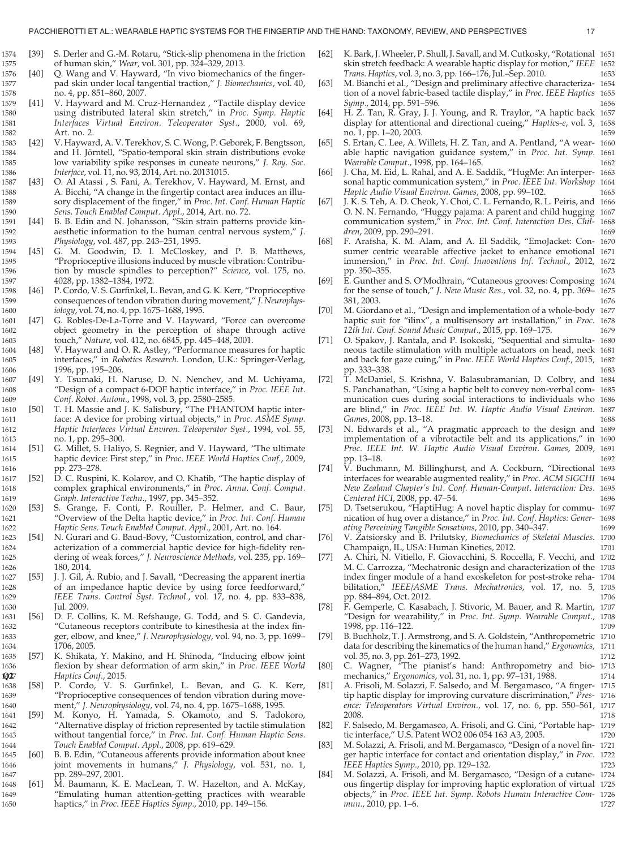- 1574 [39] S. Derler and G.-M. Rotaru, "Stick-slip phenomena in the friction of human skin," Wear, vol. 301, pp. 324–329, 2013. 1575 of human skin," Wear, vol. 301, pp. 324–329, 2013.<br>1576 [40] O. Wang and V. Hayward. "In vivo biomechanic
- 1576 [40] Q. Wang and V. Hayward, "In vivo biomechanics of the finger-<br>1577 pad skin under local tangential traction," *J. Biomechanics*, vol. 40, 1577 pad skin under local tangential traction," J. Biomechanics, vol. 40,<br>1578 1578 po. 4. pp. 851–860. 2007. 1578 no. 4, pp. 851–860, 2007.<br>1579 [41] V. Hayward and M. Ci
- 1579 [41] V. Hayward and M. Cruz-Hernandez , "Tactile display device 1580 using distributed lateral skin stretch," in Proc. Symp. Haptic 1581 Interfaces Virtual Environ. Teleoperator Syst., 2000, vol. 69, 1582 Art. no. 2.<br>1583 [42] V. Haywai
- 1583 [42] V. Hayward, A. V. Terekhov, S. C. Wong, P. Geborek, F. Bengtsson, 1584 and H. Jörntell, "Spatio-temporal skin strain distributions evoke  $\frac{1585}{1585}$  low variability spike responses in cupeate peurons " J. Rou Soc 1585 low variability spike responses in cuneate neurons," J. Roy. Soc.<br>1586 *Interface* vol. 11, no. 93, 2014, Art. no. 20131015. 1586 Interface, vol. 11, no. 93, 2014, Art. no. 20131015.<br>1587 [43] O. Al Atassi , S. Fani, A. Terekhov, V. Havy
- 1587 [43] O. Al Atassi , S. Fani, A. Terekhov, V. Hayward, M. Ernst, and 1588 A. Bicchi, "A change in the fingertip contact area induces an illu-<br>1589 sory displacement of the finger " in Proc. Int. Cont. Human Hantic 1589 sory displacement of the finger," in Proc. Int. Conf. Human Haptic<br>1590 Sens. Touch Enabled Comput. Appl., 2014. Art. no. 72. 1590 Sens. Touch Enabled Comput. Appl., 2014, Art. no. 72.
- 1591 [44] B. B. Edin and N. Johansson, "Skin strain patterns provide kin-1592 aesthetic information to the human central nervous system," J. 1593 Physiology, vol. 487, pp. 243–251, 1995.
- 1594 [45] G. M. Goodwin, D. I. McCloskey, and P. B. Matthews, 1595 "Proprioceptive illusions induced by muscle vibration: Contribu-<br>1596 tion by muscle spindles to perception?" Science, vol. 175, no. 1596 tion by muscle spindles to perception?" Science, vol. 175, no.<br>1597 1987 1982-1384 1972 1597 4028, pp. 1382–1384, 1972.
- 1598 [46] P. Cordo, V. S. Gurfinkel, L. Bevan, and G. K. Kerr, "Proprioceptive 1599 consequences of tendon vibration during movement," J. Neurophys-1600 iology, vol. 74, no. 4, pp. 1675–1688, 1995.
- 1601 [47] G. Robles-De-La-Torre and V. Hayward, "Force can overcome 1602 object geometry in the perception of shape through active 1603 touch," Nature, vol. 412, no. 6845, pp. 445–448, 2001.
- 1604 [48] V. Hayward and O. R. Astley, "Performance measures for haptic 1605 interfaces," in Robotics Research. London, U.K.: Springer-Verlag, 1606 1996, pp. 195–206.
- 1607 [49] Y. Tsumaki, H. Naruse, D. N. Nenchev, and M. Uchiyama, 1608 "Design of a compact 6-DOF haptic interface," in Proc. IEEE Int. 1609 Conf. Robot. Autom., 1998, vol. 3, pp. 2580–2585.<br>1610 [50] T. H. Massie and J. K. Salisbury, "The PHAN
- T. H. Massie and J. K. Salisbury, "The PHANTOM haptic inter-1611 face: A device for probing virtual objects," in Proc. ASME Symp.<br>1612 Haptic Interfaces Virtual Environ. Teleoperator Syst., 1994, vol. 55, 1612 Haptic Interfaces Virtual Environ. Teleoperator Syst., 1994, vol. 55, no. 1, pp. 295–300.
- 1614 [51] G. Millet, S. Haliyo, S. Regnier, and V. Hayward, "The ultimate haptic device: First step," in *Proc. IEEE World Haptics Conf.*, 2009, haptic device: First step," in Proc. IEEE World Haptics Conf., 2009, 1616 pp. 273–278.<br>1617 [52] D. C. Ruspin
- [52] D. C. Ruspini, K. Kolarov, and O. Khatib, "The haptic display of 1618 complex graphical environments," in Proc. Annu. Conf. Comput.<br>1619 6raph. Interactive Techn., 1997, pp. 345–352. Graph. Interactive Techn., 1997, pp. 345-352.
- 1620 [53] S. Grange, F. Conti, P. Rouiller, P. Helmer, and C. Baur, 1621 "Overview of the Delta haptic device," in Proc. Int. Conf. Human 1622 Haptic Sens. Touch Enabled Comput. Appl., 2001, Art. no. 164.
- [54] N. Gurari and G. Baud-Bovy, "Customization, control, and char-1624 acterization of a commercial haptic device for high-fidelity ren-<br>1625 dering of weak forces," J. Neuroscience Methods, vol. 235, pp. 169– dering of weak forces," J. Neuroscience Methods, vol. 235, pp. 169–
- 1626 180, 2014.<br>1627 [55] J. J. Gil, Á J. J. Gil, A. Rubio, and J. Savall, "Decreasing the apparent inertia 1628 of an impedance haptic device by using force feedforward,"<br>1629 IEEE Trans. Control Syst. Technol., vol. 17, no. 4, pp. 833–838, IEEE Trans. Control Syst. Technol., vol. 17, no. 4, pp. 833-838, 1630 **Jul. 2009.**<br>1631 **[56] D. F. Co**
- D. F. Collins, K. M. Refshauge, G. Todd, and S. C. Gandevia, 1632 "Cutaneous receptors contribute to kinesthesia at the index fin-1633 ger, elbow, and knee," J. Neurophysiology, vol. 94, no. 3, pp. 1699– 1634 1706, 2005.
- 1635 [57] K. Shikata, Y. Makino, and H. Shinoda, "Inducing elbow joint 1636 flexion by shear deformation of arm skin," in Proc. IEEE World 1027 Haptics Conf., 2015.
- 1638 [58] P. Cordo, V. S. Gurfinkel, L. Bevan, and G. K. Kerr, 1639 "Proprioceptive consequences of tendon vibration during move-1640 ment," *J. Neurophysiology, vol. 74, no. 4, pp.* 1675–1688, 1995.<br>1641 [59] M. Konyo, H. Yamada, S. Okamoto, and S. Tado
- [59] M. Konyo, H. Yamada, S. Okamoto, and S. Tadokoro, 1642 "Alternative display of friction represented by tactile stimulation 1643 without tangential force," in Proc. Int. Conf. Human Haptic Sens. 1644 Touch Enabled Comput. Appl., 2008, pp. 619–629.
- [60] B. B. Edin, "Cutaneous afferents provide information about knee 1646 joint movements in humans," J. Physiology, vol. 531, no. 1, 1647 pp. 289–297, 2001.
- 1648 [61]  $\hat{M}$ . Baumann, K. E. MacLean, T. W. Hazelton, and A. McKay, "Emulating human attention-getting practices with wearable "Emulating human attention-getting practices with wearable 1650 haptics," in Proc. IEEE Haptics Symp., 2010, pp. 149–156.
- [62] K. Bark, J. Wheeler, P. Shull, J. Savall, and M. Cutkosky, "Rotational 1651 skin stretch feedback: A wearable haptic display for motion," IEEE 1652<br>Trans. Haptics. vol. 3. no. 3. pp. 166–176. Jul.–Sep. 2010. 1653 Trans. Haptics, vol. 3, no. 3, pp. 166–176, Jul.–Sep. 2010.<br>M. Bianchi et al., "Design and preliminary affective characteriza- 1654
- [63] M. Bianchi et al., "Design and preliminary affective characteriza- 1654 tion of a novel fabric-based tactile display," in Proc. IEEE Haptics Symp., 2014, pp. 591–596.<br>H. Z. Tan. R. Grav. I. I. Young. and R. Travlor. "A haptic back 1657
- [64] H. Z. Tan, R. Gray, J. J. Young, and R. Traylor, "A haptic back 1657 display for attentional and directional cueing," *Haptics-e*, vol. 3, 1658 display for attentional and directional cueing," Haptics-e, vol. 3, 1658<br>no. 1. pp. 1–20. 2003 no. 1, pp. 1–20, 2003. 1659<br>S. Ertan C. Lee, A. Willets, H. Z. Tan and A. Pentland. "A wear- 1660
- [65] S. Ertan, C. Lee, A. Willets, H. Z. Tan, and A. Pentland, "A wear- 1660 able haptic navigation guidance system," in Proc. Int. Symp. 1661 Wearable Comput., 1998, pp. 164–165.<br>I. Cha. M. Eid. J., Rahal, and A. E. Saddik. "HugMe: An interper- 1663
- [66] J. Cha, M. Eid, L. Rahal, and A. E. Saddik, "HugMe: An interper- 1663 sonal haptic communication system," in Proc. IEEE Int. Workshop 1664<br>Haptic Audio Visual Environ. Games. 2008. pp. 99–102. Haptic Audio Visual Environ. Games, 2008, pp. 99–102. 1665
- [67] J. K. S. Teh, A. D. Cheok, Y. Choi, C. L. Fernando, R. L. Peiris, and 1666 O. N. N. Fernando, "Huggy pajama: A parent and child hugging 1667 communication system,<sup>"</sup> in Proc. Int. Conf. Interaction Des. Chil- 1668<br>dren. 2009. pp. 290–291. dren, 2009, pp. 290–291.<br>F. Arafsha, K. M. Alam, and A. El Saddik, "Emolacket: Con- 1670
- [68] F. Arafsha, K. M. Alam, and A. El Saddik, "EmoJacket: Con- 1670 sumer centric wearable affective jacket to enhance emotional immersion," in Proc. Int. Conf. Innovations Inf. Technol., 2012, 1673<br>pp. 350–355. 1673 pp. 350–355. 1673
- [69] E. Gunther and S. O'Modhrain, "Cutaneous grooves: Composing 1674 for the sense of touch," J. New Music Res., vol. 32, no. 4, pp. 369– 1675 381, 2003. 1676
- [70] M. Giordano et al., "Design and implementation of a whole-body 1677 haptic suit for "ilinx", a multisensory art installation," in Proc. 1678 12th Int. Conf. Sound Music Comput., 2015, pp. 169–175. 1679
- [71] O. Spakov, J. Rantala, and P. Isokoski, "Sequential and simulta- 1680 neous tactile stimulation with multiple actuators on head, neck 1681 and back for gaze cuing," in Proc. IEEE World Haptics Conf., 2015, 1682 pp. 333–338. 1683
- [72] T. McDaniel, S. Krishna, V. Balasubramanian, D. Colbry, and 1684 S. Panchanathan, "Using a haptic belt to convey non-verbal com- 1685 munication cues during social interactions to individuals who 1686 are blind." in *Proc. IEEE Int. W. Hantic Audio Visual Environ.* 1687 are blind," in Proc. IEEE Int. W. Haptic Audio Visual Environ. Games, 2008, pp. 13–18. 1688
- [73] N. Edwards et al., "A pragmatic approach to the design and 1689 implementation of a vibrotactile belt and its applications," in 1690 Proc. IEEE Int. W. Haptic Audio Visual Environ. Games, 2009, 1691 pp. 13–18. 1692
- [74] V. Buchmann, M. Billinghurst, and A. Cockburn, "Directional 1693 interfaces for wearable augmented reality," in Proc. ACM SIGCHI 1694 New Zealand Chapter's Int. Conf. Human-Comput. Interaction: Des. 1695 Centered HCI, 2008, pp. 47–54. 1696
- [75] D. Tsetserukou, "HaptiHug: A novel haptic display for commu- 1697 nication of hug over a distance," in Proc. Int. Conf. Haptics: Gener- 1698 ating Perceiving Tangible Sensations, 2010, pp. 340–347. 1699
- [76] V. Zatsiorsky and B. Prilutsky, Biomechanics of Skeletal Muscles. 1700 Champaign, IL, USA: Human Kinetics, 2012. 1701
- [77] A. Chiri, N. Vitiello, F. Giovacchini, S. Roccella, F. Vecchi, and 1702 M. C. Carrozza, "Mechatronic design and characterization of the 1703 index finger module of a hand exoskeleton for post-stroke reha- 1704 bilitation," IEEE/ASME Trans. Mechatronics, vol. 17, no. 5, 1705 pp. 884–894, Oct. 2012. 1706
- [78] F. Gemperle, C. Kasabach, J. Stivoric, M. Bauer, and R. Martin, 1707 "Design for wearability," in Proc. Int. Symp. Wearable Comput., 1708 1998, pp. 116–122. 1709
- [79] B. Buchholz, T. J. Armstrong, and S. A. Goldstein, "Anthropometric 1710 data for describing the kinematics of the human hand," Ergonomics, 1711 vol. 35, no. 3, pp. 261–273, 1992. 1712
- [80] C. Wagner, "The pianist's hand: Anthropometry and bio- 1713 mechanics," Ergonomics, vol. 31, no. 1, pp. 97-131, 1988. 1714
- [81] A. Frisoli, M. Solazzi, F. Salsedo, and M. Bergamasco, "A finger- 1715 tip haptic display for improving curvature discrimination," Pres- 1716 ence: Teleoperators Virtual Environ., vol. 17, no. 6, pp. 550–561, 1717 2008. 1718
- [82] F. Salsedo, M. Bergamasco, A. Frisoli, and G. Cini, "Portable hap- 1719 tic interface," U.S. Patent WO2 006 054 163 A3, 2005. 1720
- [83] M. Solazzi, A. Frisoli, and M. Bergamasco, "Design of a novel fin- 1721 ger haptic interface for contact and orientation display," in Proc. 1722 IEEE Haptics Symp., 2010, pp. 129–132.
- [84] M. Solazzi, A. Frisoli, and M. Bergamasco, "Design of a cutane- 1724 ous fingertip display for improving haptic exploration of virtual 1725 objects," in Proc. IEEE Int. Symp. Robots Human Interactive Com- 1726 mun., 2010, pp. 1–6.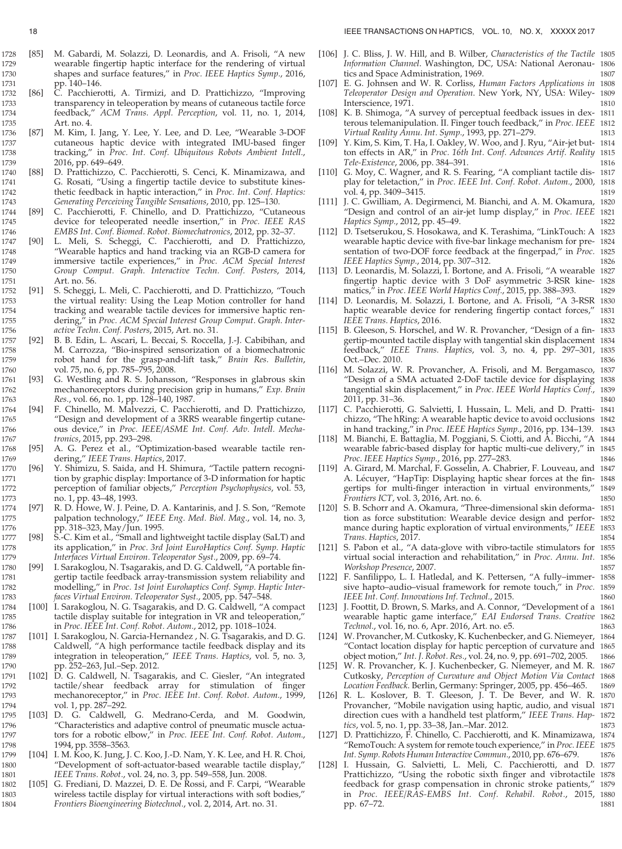- 1728 [85] M. Gabardi, M. Solazzi, D. Leonardis, and A. Frisoli, "A new<br>1729 wearable fingertip haptic interface for the rendering of virtual 1729 wearable fingertip haptic interface for the rendering of virtual<br>1730 shapes and surface features." in Proc. IEEE Haptics Sump.. 2016. 1730 shapes and surface features," in Proc. IEEE Haptics Symp., 2016, pp. 140–146.
- 1731 pp. 140–146.<br>1732 **1861 C. Pacchier** C. Pacchierotti, A. Tirmizi, and D. Prattichizzo, "Improving 1733 transparency in teleoperation by means of cutaneous tactile force<br>1734 feedback." ACM Trans. Appl. Perception. vol. 11. no. 1. 2014. 1734 feedback," ACM Trans. Appl. Perception, vol. 11, no. 1, 2014, 1735 Art. no. 4<br>1736 **1871** M. Kim.
- 1736 [87] M. Kim, I. Jang, Y. Lee, Y. Lee, and D. Lee, "Wearable 3-DOF"<br>1737 Cutaneous bantic device with integrated IMU-based finger 1737 cutaneous haptic device with integrated IMU-based finger<br>1738 tracking " in Proc. Int. Conf. Ubiquitous Robots Ambient Intell. 1738 tracking," in Proc. Int. Conf. Ubiquitous Robots Ambient Intell.,<br>1739 1016.pp. 649–649 1739 2016, pp. 649–649.<br>1740 **1881** D. Prattichizzo. C
- 1740 [88] D. Prattichizzo, C. Pacchierotti, S. Cenci, K. Minamizawa, and 1741 G. Rosati, "Using a fingertip tactile device to substitute kines-<br>1742 thetic feedback in haptic interaction." in Proc. Int. Conf. Haptics: 1742 thetic feedback in haptic interaction," in Proc. Int. Conf. Haptics:<br>1743 Generating Perceining Tangible Sensations 2010 pp. 125–130 1743 Generating Perceiving Tangible Sensations, 2010, pp. 125–130.<br>1744 [89] C. Pacchierotti, F. Chinello, and D. Prattichizzo, "Cuta
- 1744 [89] C. Pacchierotti, F. Chinello, and D. Prattichizzo, "Cutaneous 1745 device for teleoperated needle insertion," in Proc. IEEE RAS<br>1746 FMBS Int. Conf. Biomed. Robot. Biomechatronics. 2012. pp. 32–37. 1746 EMBS Int. Conf. Biomed. Robot. Biomechatronics, 2012, pp. 32–37.
- 1747 [90] L. Meli, S. Scheggi, C. Pacchierotti, and D. Prattichizzo, 1748 "Wearable haptics and hand tracking via an RGB-D camera for 1749 immersive tactile experiences," in Proc. ACM Special Interest 1750 Group Comput. Graph. Interactive Techn. Conf. Posters, 2014, Art. no. 56.
- 1752 [91] S. Scheggi, L. Meli, C. Pacchierotti, and D. Prattichizzo, "Touch 1753 the virtual reality: Using the Leap Motion controller for hand 1754 tracking and wearable tactile devices for immersive haptic ren-1755 dering," in Proc. ACM Special Interest Group Comput. Graph. Inter-1756 active Techn. Conf. Posters, 2015, Art. no. 31.
- 1757 [92] B. B. Edin, L. Ascari, L. Beccai, S. Roccella, J.-J. Cabibihan, and 1758 M. Carrozza, "Bio-inspired sensorization of a biomechatronic 1759 robot hand for the grasp-and-lift task," Brain Res. Bulletin, 1760 vol. 75, no. 6, pp. 785–795, 2008.
- 1761 [93] G. Westling and R. S. Johansson, "Responses in glabrous skin 1762 mechanoreceptors during precision grip in humans," Exp. Brain 1763 Res., vol. 66, no. 1, pp. 128–140, 1987.
- F. Chinello, M. Malvezzi, C. Pacchierotti, and D. Prattichizzo, 1765 "Design and development of a 3RRS wearable fingertip cutane-<br>1766 ous device." in Proc. IEEE/ASME Int. Conf. Adv. Intell. Mecha-1766 ous device," in Proc. IEEE/ASME Int. Conf. Adv. Intell. Mecha-<br>1767 tronics, 2015, pp. 293–298. tronics, 2015, pp. 293-298.
- 1768 [95] A. G. Perez et al., "Optimization-based wearable tactile ren-<br>1769 dering." IEEE Trans. Haptics, 2017. dering," IEEE Trans. Haptics, 2017.
- 1770 [96] Y. Shimizu, S. Saida, and H. Shimura, "Tactile pattern recognition by graphic display: Importance of 3-D information for haptic tion by graphic display: Importance of 3-D information for haptic 1772 perception of familiar objects," Perception Psychophysics, vol. 53, no. 1, pp. 43-48, 1993.
- 1774 [97] R. D. Howe, W. J. Peine, D. A. Kantarinis, and J. S. Son, "Remote<br>1775 **palpation technology**," IEEE Eng. Med. Biol. Mag., vol. 14, no. 3, palpation technology," IEEE Eng. Med. Biol. Mag., vol. 14, no. 3, 1776 pp. 318–323, May / Jun. 1995.<br>1777 [98] S.-C. Kim et al., "Small and li
- 1777 [98] S.-C. Kim et al., "Small and lightweight tactile display (SaLT) and 1778 its application," in Proc. 3rd Joint EuroHaptics Conf. Symp. Haptic 1779 *Interfaces Virtual Environ. Teleoperator Syst., 2009, pp. 69–74.*<br>1780 **ISP IDEL Enviroption** I. Sarakoglou. N. Tsagarakis. and D. G. Caldwell. "A portal
- 1780 [99] I. Sarakoglou, N. Tsagarakis, and D. G. Caldwell, "A portable fingertip tactile feedback array-transmission system reliability and 1782 modelling," in Proc. 1st Joint Eurohaptics Conf. Symp. Haptic Inter-<br>1783 faces Virtual Environ. Teleoperator Syst., 2005, pp. 547–548. faces Virtual Environ. Teleoperator Syst., 2005, pp. 547-548.
- 1784 [100] I. Sarakoglou, N. G. Tsagarakis, and D. G. Caldwell, "A compact tactile display suitable for integration in VR and teleoperation," tactile display suitable for integration in VR and teleoperation," 1786 in Proc. IEEE Int. Conf. Robot. Autom., 2012, pp. 1018–1024.
- [101] I. Sarakoglou, N. Garcia-Hernandez , N. G. Tsagarakis, and D. G. 1788 Caldwell, "A high performance tactile feedback display and its 1789 integration in teleoperation," IEEE Trans. Haptics, vol. 5, no. 3, 1790 pp. 252–263, Jul.–Sep. 2012.
- 1791 [102] D. G. Caldwell, N. Tsagarakis, and C. Giesler, "An integrated 1792 tactile/shear feedback array for stimulation of finger 1793 mechanoreceptor," in Proc. IEEE Int. Conf. Robot. Autom., 1999, 1794 vol. 1, pp. 287–292.
- 1795 [103] D. G. Caldwell, G. Medrano-Cerda, and M. Goodwin, 1796 "Characteristics and adaptive control of pneumatic muscle actua-<br>1797 tors for a robotic elbow," in Proc. IEEE Int. Conf. Robot. Autom., 1797 tors for a robotic elbow," in Proc. IEEE Int. Conf. Robot. Autom.,<br>1798 1994. pp. 3558–3563. 1798 1994, pp. 3558-3563.<br>1799 [104] I. M. Koo, K. Jung. I
- 1799 [104] I. M. Koo, K. Jung, J. C. Koo, J.-D. Nam, Y. K. Lee, and H. R. Choi, 1800 <br>1800 "Development of soft-actuator-based wearable tactile display." 1800 "Development of soft-actuator-based wearable tactile display,"<br>1801 IEEE Trans. Robot., vol. 24, no. 3, pp. 549–558, Jun. 2008. 1801 IEEE Trans. Robot., vol. 24, no. 3, pp. 549–558, Jun. 2008.
- [105] G. Frediani, D. Mazzei, D. E. De Rossi, and F. Carpi, "Wearable 1803 wireless tactile display for virtual interactions with soft bodies,'<br>1804 Frontiers Bioengineering Biotechnol.. vol. 2. 2014. Art. no. 31. Frontiers Bioengineering Biotechnol., vol. 2, 2014, Art. no. 31.
- [106] J. C. Bliss, J. W. Hill, and B. Wilber, Characteristics of the Tactile 1805 Information Channel. Washington, DC, USA: National Aeronau- 1806 tics and Space Administration, 1969. 1807<br>E. G. Johnsen and W. R. Corliss, Human Factors Applications in 1808
- [107] E. G. Johnsen and W. R. Corliss, Human Factors Applications in 1808 Teleoperator Design and Operation. New York, NY, USA: Wiley-1810<br>K. B. Shimoga, "A survey of perceptual feedback issues in dex- 1811
- [108] K. B. Shimoga, "A survey of perceptual feedback issues in dex- 1811 terous telemanipulation. II. Finger touch feedback," in Proc. IEEE 1812 Virtual Reality Annu. Int. Symp., 1993, pp. 271–279. 1813
- [109] Y. Kim, S. Kim, T. Ha, I. Oakley, W. Woo, and J. Ryu, "Air-jet but- 1814 ton effects in AR," in Proc. 16th Int. Conf. Advances Artif. Reality 1815<br>Tele-Existence, 2006, pp. 384–391. Tele-Existence, 2006, pp. 384–391.<br>G. Mov. C. Wagner, and R. S. Fearing. "A compliant tactile dis- 1817
- [110] G. Moy, C. Wagner, and R. S. Fearing, "A compliant tactile dis- 1817 play for teletaction." in *Proc. IEEE Int. Cont. Robot. Autom.*, 2000. 1818 play for teletaction," in Proc. IEEE Int. Conf. Robot. Autom., 2000, 1818 vol. 4, pp. 3409–3415. 1819
- [111] J. C. Gwilliam, A. Degirmenci, M. Bianchi, and A. M. Okamura, 1820 "Design and control of an air-jet lump display," in *Proc. IEEE* 1821<br>Haptics Sump 2012 pp 45–49 Haptics Symp., 2012, pp. 45–49.<br>D. Tsetserukou, S. Hosokawa, and K. Terashima, "LinkTouch: A 1823
- [112] D. Tsetserukou, S. Hosokawa, and K. Terashima, "LinkTouch: A 1823 wearable haptic device with five-bar linkage mechanism for pre- 1824<br>sentation of two-DOF force feedback at the fingerpad." in *Proc.* 1825 sentation of two-DOF force feedback at the fingerpad," in Proc. IEEE Haptics Symp., 2014, pp. 307–312.<br>D. Leonardis. M. Solazzi, I. Bortone, and A. Frisoli. "A wearable 1827
- [113] D. Leonardis, M. Solazzi, I. Bortone, and A. Frisoli, "A wearable fingertip haptic device with 3 DoF asymmetric 3-RSR kine- 1828 matics," in Proc. IEEE World Haptics Conf., 2015, pp. 388-393. 1829
- [114] D. Leonardis, M. Solazzi, I. Bortone, and A. Frisoli, "A 3-RSR 1830 haptic wearable device for rendering fingertip contact forces," 1831 IEEE Trans. Haptics, 2016. 1832
- [115] B. Gleeson, S. Horschel, and W. R. Provancher, "Design of a fin- 1833 gertip-mounted tactile display with tangential skin displacement 1834 feedback," IEEE Trans. Haptics, vol. 3, no. 4, pp. 297–301, 1835 Oct.–Dec. 2010. 1836
- [116] M. Solazzi, W. R. Provancher, A. Frisoli, and M. Bergamasco, 1837 "Design of a SMA actuated 2-DoF tactile device for displaying 1838 tangential skin displacement," in Proc. IEEE World Haptics Conf., 1839 1840<br>C. Pacchierotti, G. Salvietti, I. Hussain, L. Meli, and D. Pratti- 1841
- [117] C. Pacchierotti, G. Salvietti, I. Hussain, L. Meli, and D. Prattichizzo, "The hRing: A wearable haptic device to avoid occlusions 1842<br>in hand tracking." in *Proc. IEEE Haptics Sump.*, 2016, pp. 134-139, 1843 in hand tracking," in Proc. IEEE Haptics Symp., 2016, pp. 134–139. 1843<br>M. Bianchi, E. Battaglia, M. Poggiani, S. Ciotti, and A. Bicchi, "A. 1844
- [118] M. Bianchi, E. Battaglia, M. Poggiani, S. Ciotti, and A. Bicchi, "A wearable fabric-based display for haptic multi-cue delivery," in 1845 Proc. IEEE Haptics Symp., 2016, pp. 277–283. 1846
- [119] A. Girard, M. Marchal, F. Gosselin, A. Chabrier, F. Louveau, and 1847 A. Lécuyer, "HapTip: Displaying haptic shear forces at the fin-1848 gertips for multi-finger interaction in virtual environments," 1849<br>Frontiers ICT, vol. 3, 2016, Art. no. 6.  $\bar{F}$ rontiers ICT, vol. 3, 2016, Art. no. 6.
- [120] S. B. Schorr and A. Okamura, "Three-dimensional skin deforma- 1851 tion as force substitution: Wearable device design and perfor- 1852 mance during haptic exploration of virtual environments," IEEE 1853 Trans. Haptics, 2017. 1854
- [121] S. Pabon et al., "A data-glove with vibro-tactile stimulators for 1855 virtual social interaction and rehabilitation," in Proc. Annu. Int. 1857 Workshop Presence, 2007.<br>F. Sanfilippo, L. I. Hatledal, and K. Pettersen, "A fully–immer- 1858
- [122] F. Sanfilippo, L. I. Hatledal, and K. Pettersen, "A fully-immersive hapto–audio–visual framework for remote touch," in Proc. 1859 IEEE Int. Conf. Innovations Inf. Technol., 2015. 1860
- [123] J. Foottit, D. Brown, S. Marks, and A. Connor, "Development of a 1861 wearable haptic game interface," EAI Endorsed Trans. Creative 1862 Technol., vol. 16, no. 6, Apr. 2016, Art. no. e5. 1863
- [124] W. Provancher, M. Cutkosky, K. Kuchenbecker, and G. Niemeyer, 1864 "Contact location display for haptic perception of curvature and 1865 object motion," Int. J. Robot. Res., vol. 24, no. 9, pp. 691–702, 2005. 1866
- [125] W. R. Provancher, K. J. Kuchenbecker, G. Niemeyer, and M. R. 1867 Cutkosky, Perception of Curvature and Object Motion Via Contact 1868 Location Feedback. Berlin, Germany: Springer, 2005, pp. 456–465. 1869
- [126] R. L. Koslover, B. T. Gleeson, J. T. De Bever, and W. R. 1870 Provancher, "Mobile navigation using haptic, audio, and visual 1871 direction cues with a handheld test platform," IEEE Trans. Hap- 1872 tics, vol. 5, no. 1, pp. 33–38, Jan.–Mar. 2012. 1873
- [127] D. Prattichizzo, F. Chinello, C. Pacchierotti, and K. Minamizawa, 1874 "RemoTouch: A system for remote touch experience," in Proc. IEEE 1875 Int. Symp. Robots Human Interactive Commun., 2010, pp. 676–679. 1876
- [128] I. Hussain, G. Salvietti, L. Meli, C. Pacchierotti, and D. 1877 Prattichizzo, "Using the robotic sixth finger and vibrotactile 1878 feedback for grasp compensation in chronic stroke patients," 1879 in Proc. IEEE/RAS-EMBS Int. Conf. Rehabil. Robot., 2015, 1880 pp. 67–72. 1881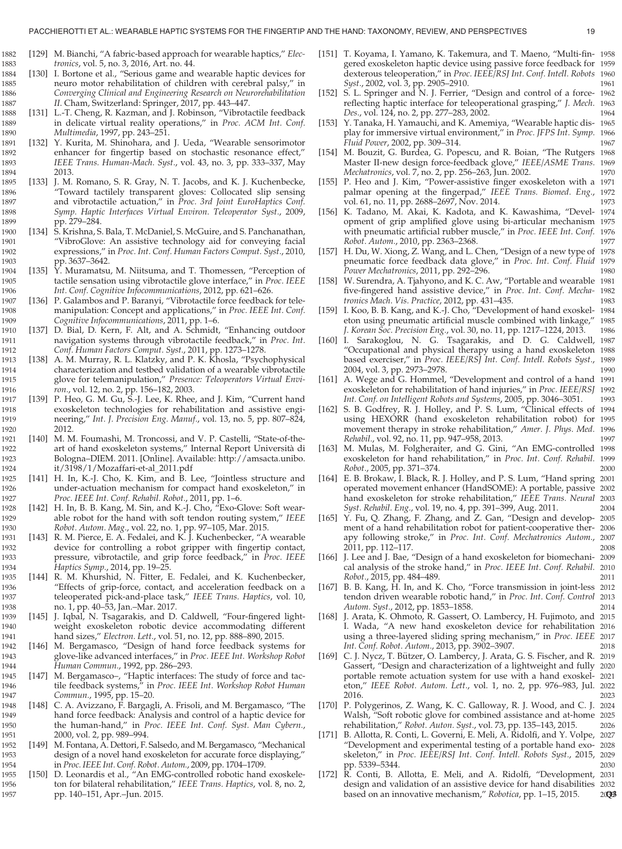- 1886 Converging Clinical and Engineering Research on Neurorehabilitation
- 1887 II. Cham, Switzerland: Springer, 2017, pp. 443–447.<br>1888 II.311 L.-T. Cheng. R. Kazman. and I. Robinson. "Vibrota 1888 [131] L.-T. Cheng, R. Kazman, and J. Robinson, "Vibrotactile feedback<br>1889 **in delicate virtual reality operations**." in *Proc. ACM Int. Conf.*
- 
- 

1889 in delicate virtual reality operations," in Proc. ACM Int. Conf.<br>1890 Multimedia 1997 pp. 243–251. *Multimedia*, 1997, pp. 243–251.<br>1891 **Multimedia Multiple 1891**  [132] Y. Kurita, M. Shinohara, and J. Ueda, "Wearable sensorimotor enhancer for fingertip based on stochastic resonance effect," IEEE Trans. Human-Mach. Syst., vol. 43, no. 3, pp. 333–337, May

1882 [129] M. Bianchi, "A fabric-based approach for wearable haptics," Elec-<br>1883 tronics. vol. 5. no. 3. 2016. Art. no. 44.

neuro motor rehabilitation of children with cerebral palsy," in

- 1894 2013<br>1895 [133] J. M. 1895 [133] J. M. Romano, S. R. Gray, N. T. Jacobs, and K. J. Kuchenbecke, 1896 "Toward tactilely transparent gloves: Collocated slip sensing<br>1897 and vibrotactile actuation " in Proc. 3rd Joint EuroHantics Conf 1897 and vibrotactile actuation," in Proc. 3rd Joint EuroHaptics Conf.<br>1898 Sump. Haptic Interfaces Virtual Environ. Teleoperator Syst., 2009. 1898 Symp. Haptic Interfaces Virtual Environ. Teleoperator Syst., 2009, 1899 pp. 279–284.<br>1900 11341 S. Krishna, S.
- 1900 [134] S. Krishna, S. Bala, T. McDaniel, S. McGuire, and S. Panchanathan, 1901 "VibroGlove: An assistive technology aid for conveying facial<br>1902 - expressions." in Proc. Int. Conf. Human Factors Comput. Sust. 2010. expressions," in Proc. Int. Conf. Human Factors Comput. Syst., 2010, 1903 pp. 3637–3642.<br>1904 [135] Y. Muramatsu
- Y. Muramatsu, M. Niitsuma, and T. Thomessen, "Perception of 1905 tactile sensation using vibrotactile glove interface," in Proc. IEEE 1906 Int. Conf. Cognitive Infocommunications, 2012, pp. 621–626.
- 1907 [136] P. Galambos and P. Baranyi, "Vibrotactile force feedback for tele-1908 manipulation: Concept and applications," in Proc. IEEE Int. Conf. 1909 Cognitive Infocommunications, 2011, pp. 1–6.
- 1910 [137] D. Bial, D. Kern, F. Alt, and A. Schmidt, "Enhancing outdoor 1911 navigation systems through vibrotactile feedback," in Proc. Int. 1912 Conf. Human Factors Comput. Syst., 2011, pp. 1273–1278.
- 1913 [138] A. M. Murray, R. L. Klatzky, and P. K. Khosla, "Psychophysical 1914 characterization and testbed validation of a wearable vibrotactile 1915 glove for telemanipulation," Presence: Teleoperators Virtual Envi-1916 ron., vol. 12, no. 2, pp. 156–182, 2003.
- 1917 [139] P. Heo, G. M. Gu, S.-J. Lee, K. Rhee, and J. Kim, "Current hand<br>1918 exoskeleton technologies for rehabilitation and assistive engiexoskeleton technologies for rehabilitation and assistive engi-1919 neering," Int. J. Precision Eng. Manuf., vol. 13, no. 5, pp. 807–824,<br>1920 2012. 1920 2012<br>1921 [140] M. N
- [140] M. M. Foumashi, M. Troncossi, and V. P. Castelli, "State-of-the-1922 art of hand exoskeleton systems," Internal Report Università di<br>1923 Bologna–DIEM. 2011. [Online]. Available: http://amsacta.unibo. 1923 Bologna–DIEM. 2011. [Online]. Available: [http://amsacta.unibo.](http://amsacta.unibo.it/3198/1/Mozaffari-et-al_2011.pdf) 1924 [it/3198/1/Mozaffari-et-al\\_2011.pdf](http://amsacta.unibo.it/3198/1/Mozaffari-et-al_2011.pdf)<br>1925 [141] H. In, K.-J. Cho, K. Kim, and B. I
- [141] H. In, K.-J. Cho, K. Kim, and B. Lee, "Jointless structure and 1926 under-actuation mechanism for compact hand exoskeleton," in<br>1927 Proc. IEEE Int. Conf. Rehabil. Robot., 2011, pp. 1–6. Proc. IEEE Int. Conf. Rehabil. Robot., 2011, pp. 1-6.
- 1928 [142] H. In, B. B. Kang, M. Sin, and K.-J. Cho, "Exo-Glove: Soft wear-<br>1929 able robot for the hand with soft tendon routing system," IEEE able robot for the hand with soft tendon routing system," IEEE 1930 Robot. Autom. Mag., vol. 22, no. 1, pp. 97–105, Mar. 2015.<br>1931 [143] R. M. Pierce, E. A. Fedalei, and K. J. Kuchenbecker, "A
- [143] R. M. Pierce, E. A. Fedalei, and K. J. Kuchenbecker, "A wearable 1932 device for controlling a robot gripper with fingertip contact,<br>1933 pressure, vibrotactile, and grip force feedback," in Proc. IEEE pressure, vibrotactile, and grip force feedback," in Proc. IEEE 1934 *Haptics Symp., 2014, pp. 19–25.*<br>1935 **[144] R. M. Khurshid, N. Fitter, I**
- [144] R. M. Khurshid, N. Fitter, E. Fedalei, and K. Kuchenbecker, 1936 "Effects of grip-force, contact, and acceleration feedback on a<br>1937 teleoperated pick-and-place task." IEEE Trans. Haptics. vol. 10. teleoperated pick-and-place task," IEEE Trans. Haptics, vol. 10, 1938 no. 1, pp. 40–53, Jan.–Mar. 2017.
- [145] J. Iqbal, N. Tsagarakis, and D. Caldwell, "Four-fingered light-1940 weight exoskeleton robotic device accommodating different 1941 hand sizes." Electron. Lett.. vol. 51. no. 12. pp. 888–890. 2015. hand sizes," Electron. Lett., vol. 51, no. 12, pp. 888-890, 2015.
- 1942 [146] M. Bergamasco, "Design of hand force feedback systems for 1943 glove-like advanced interfaces," in Proc. IEEE Int. Workshop Robot 1944 Human Commun., 1992, pp. 286–293.
- 1945 [147] M. Bergamasco–, "Haptic interfaces: The study of force and tac-1946 tile feedback systems," in Proc. IEEE Int. Workshop Robot Human 1947 Commun., 1995, pp. 15–20.
- 1948 [148] C. A. Avizzano, F. Bargagli, A. Frisoli, and M. Bergamasco, "The 1949 hand force feedback: Analysis and control of a haptic device for<br>1950 the human-hand." in *Proc. IEEE Int. Conf. Sust. Man Cubern.*. 1950 the human-hand," in Proc. IEEE Int. Conf. Syst. Man Cybern.,<br>1951 2000, vol. 2, pp. 989–994. 1951 2000, vol. 2, pp. 989–994<br>1952 [149] M. Fontana, A. Dettori, F.
- [149] M. Fontana, A. Dettori, F. Salsedo, and M. Bergamasco, "Mechanical 1953 design of a novel hand exoskeleton for accurate force displaying,"<br>1954 in Proc. IEEE Int. Conf. Robot. Autom., 2009. pp. 1704–1709. 1954 in Proc. IEEE Int. Conf. Robot. Autom., 2009, pp. 1704–1709.
- 1955 [150] D. Leonardis et al., "An EMG-controlled robotic hand exoskele-1956 ton for bilateral rehabilitation," IEEE Trans. Haptics, vol. 8, no. 2, 1957 pp. 140–151, Apr.–Jun. 2015.
- [151] T. Koyama, I. Yamano, K. Takemura, and T. Maeno, "Multi-fin- 1958 gered exoskeleton haptic device using passive force feedback for 1959 dexterous teleoperation," in Proc. IEEE/RSJ Int. Conf. Intell. Robots 1960 Syst., 2002, vol. 3, pp. 2905–2910. 1961
- [152] S. L. Springer and N. J. Ferrier, "Design and control of a force- 1962 reflecting haptic interface for teleoperational grasping," J. Mech. 1963 reflecting haptic interface for teleoperational grasping," J. Mech. 1963 Des., vol. 124, no. 2, pp. 277–283, 2002.<br>Y. Tanaka, H. Yamauchi, and K. Amemiya, "Wearable haptic dis- 1965
- [153] Y. Tanaka, H. Yamauchi, and K. Amemiya, "Wearable haptic dis- 1965<br>play for immersive virtual environment." in *Proc. IFPS Int. Sump.* 1966 play for immersive virtual environment," in Proc. JFPS Int. Symp. 1966 Fluid Power, 2002, pp. 309–314. 1967
- [154] M. Bouzit, G. Burdea, G. Popescu, and R. Boian, "The Rutgers 1968<br>Master II-new design force-feedback glove." IEEE/ASME Trans. 1969 Master II-new design force-feedback glove," IEEE/ASME Trans. 1969<br>Mechatronics. vol. 7, no. 2, pp. 256–263. Jun. 2002. Mechatronics, vol. 7, no. 2, pp. 256–263, Jun. 2002. 1970<br>P. Heo and J. Kim. "Power-assistive finger exoskeleton with a 1971
- [155] P. Heo and J. Kim, "Power-assistive finger exoskeleton with a 1971 palmar opening at the fingerpad," IEEE Trans. Biomed. Eng., 1972<br>vol 61 no 11 nn 2688–2697 Nov 2014 vol. 61, no. 11, pp. 2688–2697, Nov. 2014.<br>K. Tadano. M. Akai. K. Kadota. and K. Kawashima. "Devel- 1974
- [156] K. Tadano, M. Akai, K. Kadota, and K. Kawashima, "Devel- 1974 opment of grip amplified glove using bi-articular mechanism 1975 with pneumatic artificial rubber muscle," in *Proc. IEEE Int. Conf.* 1976 Robot. Autom., 2010, pp. 2363–2368.<br>H. Du. W. Xiong. Z. Wang. and L. Chen. "Design of a new type of 1978
- [157] H. Du, W. Xiong, Z. Wang, and L. Chen, "Design of a new type of 1978 nuclear type of the control of the process in the control of the control of the control of the control of the control of the control of the contro pneumatic force feedback data glove," in Proc. Int. Conf. Fluid 1979<br>Power Mechatronics. 2011. pp. 292–296. Power Mechatronics, 2011, pp. 292–296.<br>W. Surendra, A. Tiahyono, and K. C. Aw. "Portable and wearable, 1981
- [158] W. Surendra, A. Tjahyono, and K. C. Aw, "Portable and wearable five-fingered hand assistive device," in Proc. Int. Conf. Mecha- 1982 tronics Mach. Vis. Practice, 2012, pp. 431–435. 1983
- [159] I. Koo, B. B. Kang, and K.-J. Cho, "Development of hand exoskel- 1984 eton using pneumatic artificial muscle combined with linkage," 1985 J. Korean Soc. Precision Eng., vol. 30, no. 11, pp. 1217–1224, 2013. 1986
- [160] I. Sarakoglou, N. G. Tsagarakis, and D. G. Caldwell, 1987 "Occupational and physical therapy using a hand exoskeleton 1988 based exerciser," in Proc. IEEE/RSJ Int. Conf. Intell. Robots Syst., 1989 2004, vol. 3, pp. 2973–2978. 1990
- [161] A. Wege and G. Hommel, "Development and control of a hand 1991 exoskeleton for rehabilitation of hand injuries," in Proc. IEEE/RSJ 1992 Int. Conf. on Intelligent Robots and Systems, 2005, pp. 3046–3051. 1993
- [162] S. B. Godfrey, R. J. Holley, and P. S. Lum, "Clinical effects of 1994 using HEXORR (hand exoskeleton rehabilitation robot) for 1995<br>movement therapy in stroke rehabilitation." Amer. I. Phus. Med. 1996 movement therapy in stroke rehabilitation," Amer. J. Phys. Med. 1996<br>Rehabil.. vol. 92, no. 11, pp. 947–958, 2013. [1997] Rehabil., vol. 92, no. 11, pp. 947-958, 2013.
- [163] M. Mulas, M. Folgheraiter, and G. Gini, "An EMG-controlled 1998 exoskeleton for hand rehabilitation," in Proc. Int. Conf. Rehabil. 1999 Robot., 2005, pp. 371–374. 2000
- [164] E. B. Brokaw, I. Black, R. J. Holley, and P. S. Lum, "Hand spring 2001 operated movement enhancer (HandSOME): A portable, passive 2002<br>hand exoskeleton for stroke rehabilitation." IEEE Trans. Neural 2003 hand exoskeleton for stroke rehabilitation," IEEE Trans. Neural Syst. Rehabil. Eng., vol. 19, no. 4, pp. 391–399, Aug. 2011. 2004
- [165] Y. Fu, Q. Zhang, F. Zhang, and Z. Gan, "Design and develop- 2005 ment of a hand rehabilitation robot for patient-cooperative ther- 2006<br>apy following stroke." in Proc. Int. Conf. Mechatronics Autom.. 2007 apy following stroke," in Proc. Int. Conf. Mechatronics Autom., 2011, pp. 112–117. 2008
- [166] J. Lee and J. Bae, "Design of a hand exoskeleton for biomechani- 2009 cal analysis of the stroke hand," in Proc. IEEE Int. Conf. Rehabil. 2010 Robot., 2015, pp. 484–489.
- [167] B. B. Kang, H. In, and K. Cho, "Force transmission in joint-less 2012 tendon driven wearable robotic hand." in *Proc. Int. Conf. Control* 2013 tendon driven wearable robotic hand," in Proc. Int. Conf. Control
- Autom. Syst., 2012, pp. 1853–1858.<br>I. Arata. K. Ohmoto. R. Gassert. O. Lambercy. H. Fujimoto. and 2015 [168] J. Arata, K. Ohmoto, R. Gassert, O. Lambercy, H. Fujimoto, and I. Wada, "A new hand exoskeleton device for rehabilitation 2016<br>using a three-lavered sliding spring mechanism." in *Proc. IEEE* 2017 using a three-layered sliding spring mechanism," in Proc. IEEE Int. Conf. Robot. Autom., 2013, pp. 3902–3907. 2018
- [169] C. J. Nycz, T. Bützer, O. Lambercy, J. Arata, G. S. Fischer, and R. 2019 Gassert, "Design and characterization of a lightweight and fully 2020 portable remote actuation system for use with a hand exoskel- 2021 eton," IEEE Robot. Autom. Lett., vol. 1, no. 2, pp. 976–983, Jul. 2022 2016. 2023
- [170] P. Polygerinos, Z. Wang, K. C. Galloway, R. J. Wood, and C. J. 2024 Walsh, "Soft robotic glove for combined assistance and at-home 2025<br>rehabilitation." Robot. Auton. Sust.. vol. 73. pp. 135–143. 2015. 2026
- rehabilitation," Robot. Auton. Syst., vol. 73, pp. 135–143, 2015. 2026<br>B. Allotta, R. Conti, L. Governi, E. Meli, A. Ridolfi, and Y. Volpe, 2027 [171] B. Allotta, R. Conti, L. Governi, E. Meli, A. Ridolfi, and Y. Volpe, 2027 "Development and experimental testing of a portable hand exoskeleton," in Proc. IEEE/RSJ Int. Conf. Intell. Robots Syst., 2015, 2029
- pp. 5339–5344. 2030 [172] R. Conti, B. Allotta, E. Meli, and A. Ridolfi, "Development, design and validation of an assistive device for hand disabilities 2032 based on an innovative mechanism," Robotica, pp. 1-15, 2015. 2003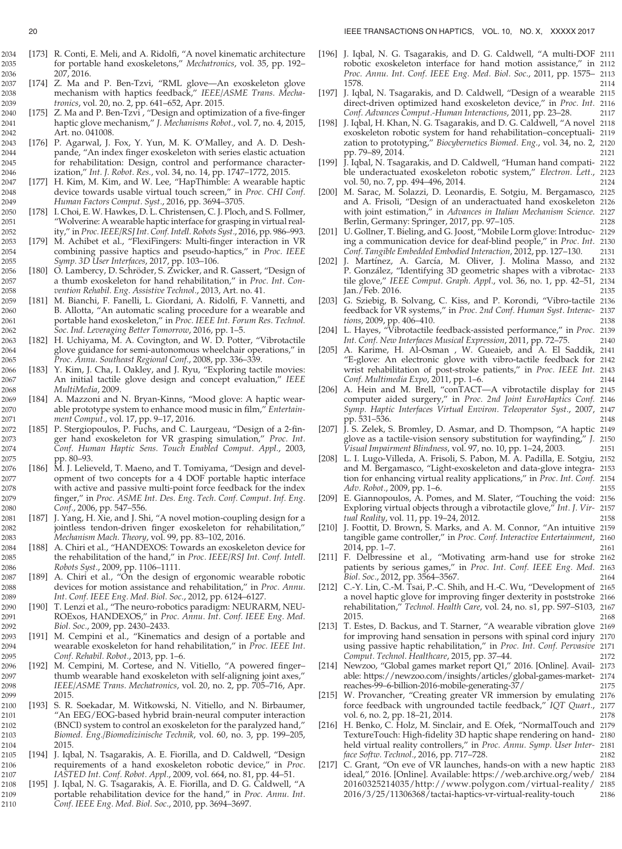- 2034 [173] R. Conti, E. Meli, and A. Ridolfi, "A novel kinematic architecture<br>2035 for portable hand exoskeletons." Mechatronics, vol. 35, pp. 192– 2035 for portable hand exoskeletons," Mechatronics, vol. 35, pp. 192–<br>2036 207.2016.
- 2036 207, 2016.<br>2037 [174] Z. Ma ar [174] Z. Ma and P. Ben-Tzvi, "RML glove—An exoskeleton glove 2038 mechanism with haptics feedback," IEEE/ASME Trans. Mecha-<br>2039 tronics. vol. 20. no. 2. pp. 641–652. Apr. 2015. 2039 tronics, vol. 20, no. 2, pp. 641–652, Apr. 2015.
- 2040 [175] Z. Ma and P. Ben-Tzvi , "Design and optimization of a five-finger haptic glove mechanism," *J. Mechanisms Robot.*, vol. 7, no. 4, 2015, 2041 haptic glove mechanism," J. Mechanisms Robot., vol. 7, no. 4, 2015, 2042 Art. no. 041008.<br>2043 [176] P Agarwal I
- 2043 [176] P. Agarwal, J. Fox, Y. Yun, M. K. O'Malley, and A. D. Desh-2044 pande, "An index finger exoskeleton with series elastic actuation 2045 for rehabilitation: Design, control and performance character-<br>2046 fization." *Int. I. Robot. Res. vol.* 34, no. 14, pp. 1747–1772, 2015. 2046 ization," Int. J. Robot. Res., vol. 34, no. 14, pp. 1747–1772, 2015.
- 2047 [177] H. Kim, M. Kim, and W. Lee, "HapThimble: A wearable haptic<br>2048 device towards usable virtual touch screen." in *Proc. CHI Conf.* 2048 device towards usable virtual touch screen," in *Proc. CHI Conf.*<br>2049 Human Factors Comput, Sust. 2016, pp. 3694–3705 2049 Human Factors Comput. Syst., 2016, pp. 3694–3705.
- 2050 [178] I. Choi, E. W. Hawkes, D. L. Christensen, C. J. Ploch, and S. Follmer, 2051 "Wolverine: A wearable haptic interface for grasping in virtual real-<br>2052 ity." in Proc. IEEE/RSI Int. Conf. Intell. Robots Sust. 2016. pp. 986–993. 2052 ity," in Proc. IEEE/RSJ Int. Conf. Intell. Robots Syst., 2016, pp. 986–993.
- 2053 [179] M. Achibet et al., "FlexiFingers: Multi-finger interaction in VR<br>2054 combining passive haptics and pseudo-haptics." in *Proc. IEEE* 2054 combining passive haptics and pseudo-haptics," in *Proc. IEEE*<br>2055 Sumn 3D User Interfaces 2017 pp. 103–106 2055 Symp. 3D User Interfaces, 2017, pp. 103–106.<br>2056 [180] O. Lambercy, D. Schröder, S. Zwicker, and
- O. Lambercy, D. Schröder, S. Zwicker, and R. Gassert, "Design of 2057 a thumb exoskeleton for hand rehabilitation," in Proc. Int. Con-2058 vention Rehabil. Eng. Assistive Technol., 2013, Art. no. 41.
- 2059 [181] M. Bianchi, F. Fanelli, L. Giordani, A. Ridolfi, F. Vannetti, and 2060 B. Allotta, "An automatic scaling procedure for a wearable and 2061 portable hand exoskeleton," in Proc. IEEE Int. Forum Res. Technol. 2062 Soc. Ind. Leveraging Better Tomorrow, 2016, pp. 1–5.
- 2063 [182] H. Uchiyama, M. A. Covington, and W. D. Potter, "Vibrotactile 2064 glove guidance for semi-autonomous wheelchair operations," in 2065 Proc. Annu. Southeast Regional Conf., 2008, pp. 336–339.
- 2066 [183] Y. Kim, J. Cha, I. Oakley, and J. Ryu, "Exploring tactile movies: 2067 An initial tactile glove design and concept evaluation," IEEE 2068 MultiMedia, 2009.
- 2069 [184] A. Mazzoni and N. Bryan-Kinns, "Mood glove: A haptic wearable prototype system to enhance mood music in film," Entertain-2071 ment Comput., vol. 17, pp. 9–17, 2016.<br>2072 **1851** P. Stergiopoulos, P. Fuchs, and C. L.
- 2072 [185] P. Stergiopoulos, P. Fuchs, and C. Laurgeau, "Design of a 2-finger hand exoskeleton for VR grasping simulation," Proc. Int. 2074 Conf. Human Haptic Sens. Touch Enabled Comput. Appl., 2003, pp. 80–93.
- 2076 [186] M. J. Lelieveld, T. Maeno, and T. Tomiyama, "Design and devel-2077 opment of two concepts for a 4 DOF portable haptic interface 2078 with active and passive multi-point force feedback for the index<br>2079 finger," in Proc. ASME Int. Des. Eng. Tech. Conf. Comput. Inf. Eng. finger," in Proc. ASME Int. Des. Eng. Tech. Conf. Comput. Inf. Eng. 2080 *Conf.*, 2006, pp. 547–556.<br>2081 [187] J. Yang, H. Xie, and J. Sh
- [187] J. Yang, H. Xie, and J. Shi, "A novel motion-coupling design for a 2082 jointless tendon-driven finger exoskeleton for rehabilitation,"<br>2083 Mechanism Mach. Theory, vol. 99, pp. 83–102, 2016. Mechanism Mach. Theory, vol. 99, pp. 83-102, 2016.
- 2084 [188] A. Chiri et al., "HANDEXOS: Towards an exoskeleton device for 2085 the rehabilitation of the hand," in Proc. IEEE/RSJ Int. Conf. Intell. 2086 Robots Syst., 2009, pp. 1106–1111.<br>2087 [189] A. Chiri et al., "On the design
- A. Chiri et al., "On the design of ergonomic wearable robotic 2088 devices for motion assistance and rehabilitation," in *Proc. Annu.*<br>2089 *Int. Conf. IEEE Eng. Med. Biol. Soc.,* 2012, pp. 6124–6127. 2089 Int. Conf. IEEE Eng. Med. Biol. Soc., 2012, pp. 6124–6127.
- 2090 [190] T. Lenzi et al., "The neuro-robotics paradigm: NEURARM, NEU-<br>2091 ROExos, HANDEXOS," in Proc. Annu. Int. Conf. IEEE Eng. Med. ROExos, HANDEXOS," in Proc. Annu. Int. Conf. IEEE Eng. Med. 2092 *Biol. Soc., 2009, pp. 2430–2433.*<br>2093 [191] M. Cempini et al., "Kinemat
- [191] M. Cempini et al., "Kinematics and design of a portable and 2094 wearable exoskeleton for hand rehabilitation," in Proc. IEEE Int. 2095 Conf. Rehabil. Robot., 2013, pp. 1–6.
- 2096 [192] M. Cempini, M. Cortese, and N. Vitiello, "A powered finger– 2097 thumb wearable hand exoskeleton with self-aligning joint axes," 2098 IEEE/ASME Trans. Mechatronics, vol. 20, no. 2, pp. 705–716, Apr. 2099 2015.
- 2100 [193] S. R. Soekadar, M. Witkowski, N. Vitiello, and N. Birbaumer, 2101 "An EEG/EOG-based hybrid brain-neural computer interaction<br>2102 (BNCI) system to control an exoskeleton for the paralyzed hand." 2102 (BNCI) system to control an exoskeleton for the paralyzed hand, 2103 (Biomed. Eng./Biomedizinische Technik, vol. 60, no. 3, pp. 199–205 2103 Biomed. Eng./Biomedizinische Technik, vol. 60, no. 3, pp. 199–205, 2104 2015<br>2105 [194] J. Iql
- 2105 [194] J. Iqbal, N. Tsagarakis, A. E. Fiorilla, and D. Caldwell, "Design requirements of a hand exoskeleton robotic device." in *Proc.* 2106 requirements of a hand exoskeleton robotic device," in Proc.<br>2107 IASTED Int. Conf. Robot. Appl., 2009, vol. 664, no. 81, pp. 44–51. 2107 *IASTED Int. Conf. Robot. Appl.,* 2009, vol. 664, no. 81, pp. 44–51.<br>2108 [195] J. Jabal, N. G. Tsagarakis, A. E. Fiorilla, and D. G. Caldwell.
- [195] J. Iqbal, N. G. Tsagarakis, A. E. Fiorilla, and D. G. Caldwell, "A 2109 portable rehabilitation device for the hand," in *Proc. Annu. Int.*<br>2110 Conf. IEEE Eng. Med. Biol. Soc., 2010. pp. 3694–3697. 2110 Conf. IEEE Eng. Med. Biol. Soc., 2010, pp. 3694–3697.
- [196] J. Iqbal, N. G. Tsagarakis, and D. G. Caldwell, "A multi-DOF 2111 robotic exoskeleton interface for hand motion assistance," in 2112 Proc. Annu. Int. Conf. IEEE Eng. Med. Biol. Soc., 2011, pp. 1575– 2113 1578. 2114
- [197] J. Iqbal, N. Tsagarakis, and D. Caldwell, "Design of a wearable 2115 direct-driven optimized hand exoskeleton device," in Proc. Int. 2116 Conf. Advances Comput.-Human Interactions, 2011, pp. 23–28. 2117
- [198] J. Iqbal, H. Khan, N. G. Tsagarakis, and D. G. Caldwell, "A novel 2118 exoskeleton robotic system for hand rehabilitation–conceptuali- 2119<br>zation to prototyping." Biocubernetics Biomed. Eng., vol. 34, no. 2, 2120 zation to prototyping," Biocybernetics Biomed. Eng., vol. 34, no. 2, 2120 pp. 79–89, 2014. 2121
- [199] J. Iqbal, N. Tsagarakis, and D. Caldwell, "Human hand compati- 2122 ble underactuated exoskeleton robotic system," Electron. Lett., 2123<br>vol. 50. no. 7. pp. 494–496, 2014. vol. 50, no. 7, pp. 494–496, 2014.<br>M. Sarac, M. Solazzi, D. Leonardis, E. Sotgiu, M. Bergamasco, 2125
- [200] M. Sarac, M. Solazzi, D. Leonardis, E. Sotgiu, M. Bergamasco, 2125 and A. Frisoli, "Design of an underactuated hand exoskeleton 2126<br>with joint estimation." in Advances in Italian Mechanism Science, 2127 with joint estimation," in Advances in Italian Mechanism Science. 2127<br>Berlin, Germany: Springer. 2017, pp. 97–105. 2128 Berlin, Germany: Springer, 2017, pp. 97–105.<br>U. Gollner, T. Bieling, and G. Joost, "Mobile Lorm glove: Introduc- 2129
- [201] U. Gollner, T. Bieling, and G. Joost, "Mobile Lorm glove: Introduc- 2129<br>ing a communication device for deaf-blind people." in Proc. Int. 2130 ing a communication device for deaf-blind people," in Proc. Int. 2130<br>Conf. Tangible Embedded Embodied Interaction. 2012. pp. 127-130. 2131 Conf. Tangible Embedded Embodied Interaction, 2012, pp. 127-130.
- [202] J. Martínez, A. García, M. Oliver, J. Molina Masso, and 2132 P. Gonzalez, "Identifying 3D geometric shapes with a vibrotac- 2133 tile glove," IEEE Comput. Graph. Appl., vol. 36, no. 1, pp. 42–51, 2134 Jan./Feb. 2016. 2135
- [203] G. Sziebig, B. Solvang, C. Kiss, and P. Korondi, "Vibro-tactile 2136 feedback for VR systems," in Proc. 2nd Conf. Human Syst. Interac- 2137 tions, 2009, pp. 406–410. 2138
- [204] L. Hayes, "Vibrotactile feedback-assisted performance," in Proc. 2139 Int. Conf. New Interfaces Musical Expression, 2011, pp. 72–75. 2140
- [205] A. Karime, H. Al-Osman , W. Gueaieb, and A. El Saddik, 2141 "E-glove: An electronic glove with vibro-tactile feedback for 2142 wrist rehabilitation of post-stroke patients," in Proc. IEEE Int. 2143 Conf. Multimedia Expo, 2011, pp. 1–6. 2144
- [206] A. Hein and M. Brell, "conTACT—A vibrotactile display for 2145 computer aided surgery," in Proc. 2nd Joint EuroHaptics Conf. 2146<br>Symp. Haptic Interfaces Virtual Environ. Teleoperator Syst., 2007, 2147 Symp. Haptic Interfaces Virtual Environ. Teleoperator Syst., 2007, pp. 531–536. 2148
- [207] J. S. Zelek, S. Bromley, D. Asmar, and D. Thompson, "A haptic 2149 glove as a tactile-vision sensory substitution for wayfinding," J. 2150 Visual Impairment Blindness, vol. 97, no. 10, pp. 1–24, 2003. 2151
- [208] L. I. Lugo-Villeda, A. Frisoli, S. Pabon, M. A. Padilla, E. Sotgiu, 2152 and M. Bergamasco, "Light-exoskeleton and data-glove integra- 2153 tion for enhancing virtual reality applications," in Proc. Int. Conf. 2154 tion for enhancing virtual reality applications," in Proc. Int. Conf. Adv. Robot., 2009, pp. 1–6.<br>E. Giannopoulos, A. Pomes, and M. Slater, "Touching the void: 2156
- [209] E. Giannopoulos, A. Pomes, and M. Slater, "Touching the void: Exploring virtual objects through a vibrotactile glove," Int. J. Vir- 2157 tual Reality, vol. 11, pp. 19-24, 2012.
- [210] J. Foottit, D. Brown, S. Marks, and A. M. Connor, "An intuitive 2159 tangible game controller," in Proc. Conf. Interactive Entertainment, 2014, pp. 1–7. 2161
- [211] F. Delbressine et al., "Motivating arm-hand use for stroke 2162 patients by serious games," in Proc. Int. Conf. IEEE Eng. Med. 2163 Biol. Soc., 2012, pp. 3564–3567. 2164
- [212] C.-Y. Lin, C.-M. Tsai, P.-C. Shih, and H.-C. Wu, "Development of 2165 a novel haptic glove for improving finger dexterity in poststroke 2166 rehabilitation," Technol. Health Care, vol. 24, no. s1, pp. S97–S103, 2167 2015. 2168
- [213] T. Estes, D. Backus, and T. Starner, "A wearable vibration glove 2169 for improving hand sensation in persons with spinal cord injury 2170 using passive haptic rehabilitation," in Proc. Int. Conf. Pervasive 2171 Comput. Technol. Healthcare, 2015, pp. 37–44. 2172
- [214] Newzoo, "Global games market report Q1," 2016. [Online]. Avail- 2173 able: [https://newzoo.com/insights/articles/global-games-market-](https://newzoo.com/insights/articles/global-games-market-<?re 3j?>reaches-99--6-billion-2016-mobile-generating-37/) 2174 [reaches-99–6-billion-2016-mobile-generating-37/](https://newzoo.com/insights/articles/global-games-market-<?re 3j?>reaches-99--6-billion-2016-mobile-generating-37/) 2175
- [215] W. Provancher, "Creating greater VR immersion by emulating 2176 force feedback with ungrounded tactile feedback," IQT Quart., 2177
- vol. 6, no. 2, pp. 18–21, 2014.<br>H. Benko. C. Holz. M. Sinclair, and E. Ofek. "NormalTouch and 2179 [216] H. Benko, C. Holz, M. Sinclair, and E. Ofek, "NormalTouch and 2179 TextureTouch: High-fidelity 3D haptic shape rendering on hand- 2180<br>held virtual reality controllers." in Proc. Annu. Sumn. User Inter- 2181 held virtual reality controllers," in Proc. Annu. Symp. User Interface Softw. Technol., 2016, pp. 717–728. 2182
- [217] C. Grant, "On eve of VR launches, hands-on with a new haptic 2183 ideal," 2016. [Online]. Available: [https://web.archive.org/web/](<?A3B2 tlse=.5w?>https://web.archive.org/web/20160325214035/http://www.polygon.com/virtual-reality/2016/3/25/11306368/tactai-haptics-vr-virtual-reality-touch) 2184 [20160325214035/http://www.polygon.com/virtual-reality/](<?A3B2 tlse=.5w?>https://web.archive.org/web/20160325214035/http://www.polygon.com/virtual-reality/2016/3/25/11306368/tactai-haptics-vr-virtual-reality-touch) 2185 [2016/3/25/11306368/tactai-haptics-vr-virtual-reality-touch](<?A3B2 tlse=.5w?>https://web.archive.org/web/20160325214035/http://www.polygon.com/virtual-reality/2016/3/25/11306368/tactai-haptics-vr-virtual-reality-touch) 2186